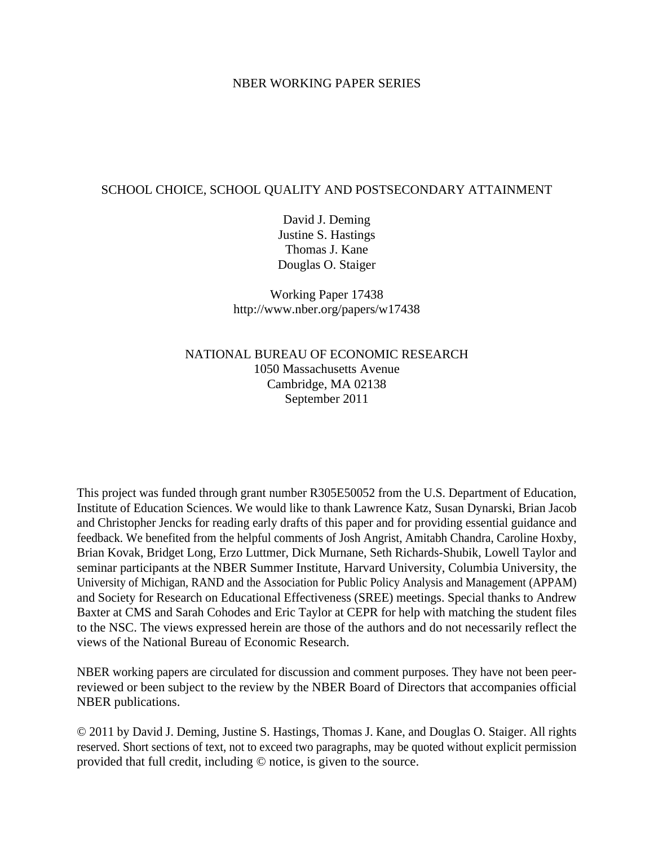## NBER WORKING PAPER SERIES

# SCHOOL CHOICE, SCHOOL QUALITY AND POSTSECONDARY ATTAINMENT

David J. Deming Justine S. Hastings Thomas J. Kane Douglas O. Staiger

Working Paper 17438 http://www.nber.org/papers/w17438

# NATIONAL BUREAU OF ECONOMIC RESEARCH 1050 Massachusetts Avenue Cambridge, MA 02138 September 2011

This project was funded through grant number R305E50052 from the U.S. Department of Education, Institute of Education Sciences. We would like to thank Lawrence Katz, Susan Dynarski, Brian Jacob and Christopher Jencks for reading early drafts of this paper and for providing essential guidance and feedback. We benefited from the helpful comments of Josh Angrist, Amitabh Chandra, Caroline Hoxby, Brian Kovak, Bridget Long, Erzo Luttmer, Dick Murnane, Seth Richards-Shubik, Lowell Taylor and seminar participants at the NBER Summer Institute, Harvard University, Columbia University, the University of Michigan, RAND and the Association for Public Policy Analysis and Management (APPAM) and Society for Research on Educational Effectiveness (SREE) meetings. Special thanks to Andrew Baxter at CMS and Sarah Cohodes and Eric Taylor at CEPR for help with matching the student files to the NSC. The views expressed herein are those of the authors and do not necessarily reflect the views of the National Bureau of Economic Research.

NBER working papers are circulated for discussion and comment purposes. They have not been peerreviewed or been subject to the review by the NBER Board of Directors that accompanies official NBER publications.

© 2011 by David J. Deming, Justine S. Hastings, Thomas J. Kane, and Douglas O. Staiger. All rights reserved. Short sections of text, not to exceed two paragraphs, may be quoted without explicit permission provided that full credit, including © notice, is given to the source.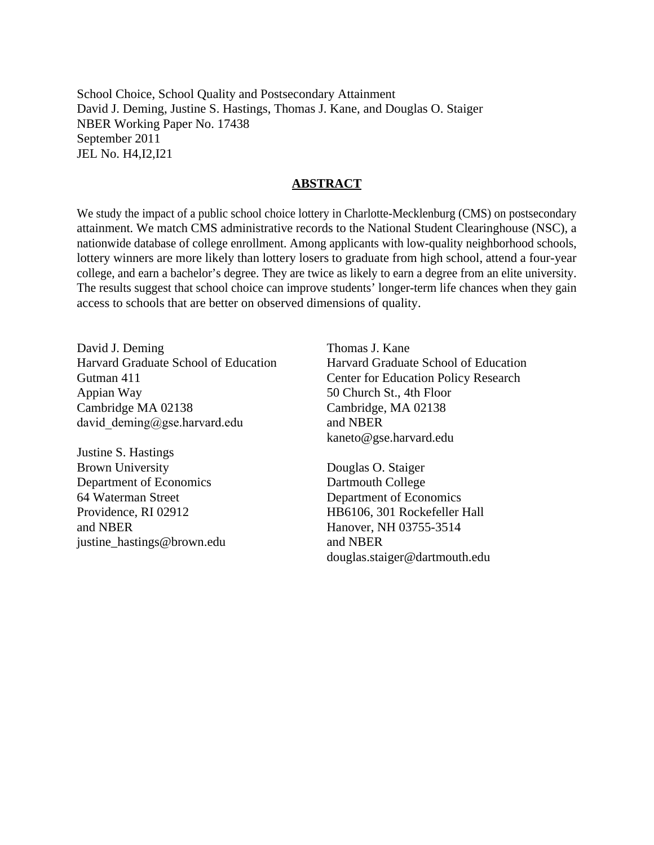School Choice, School Quality and Postsecondary Attainment David J. Deming, Justine S. Hastings, Thomas J. Kane, and Douglas O. Staiger NBER Working Paper No. 17438 September 2011 JEL No. H4,I2,I21

## **ABSTRACT**

We study the impact of a public school choice lottery in Charlotte-Mecklenburg (CMS) on postsecondary attainment. We match CMS administrative records to the National Student Clearinghouse (NSC), a nationwide database of college enrollment. Among applicants with low-quality neighborhood schools, lottery winners are more likely than lottery losers to graduate from high school, attend a four-year college, and earn a bachelor's degree. They are twice as likely to earn a degree from an elite university. The results suggest that school choice can improve students' longer-term life chances when they gain access to schools that are better on observed dimensions of quality.

David J. Deming Harvard Graduate School of Education Gutman 411 Appian Way Cambridge MA 02138 david deming@gse.harvard.edu

Justine S. Hastings Brown University Department of Economics 64 Waterman Street Providence, RI 02912 and NBER justine\_hastings@brown.edu Thomas J. Kane Harvard Graduate School of Education Center for Education Policy Research 50 Church St., 4th Floor Cambridge, MA 02138 and NBER kaneto@gse.harvard.edu

Douglas O. Staiger Dartmouth College Department of Economics HB6106, 301 Rockefeller Hall Hanover, NH 03755-3514 and NBER douglas.staiger@dartmouth.edu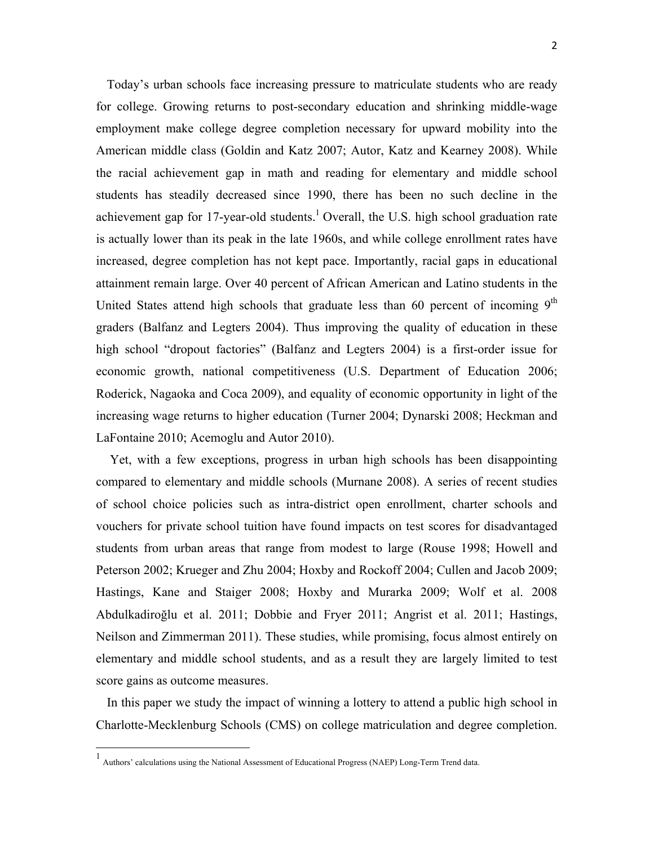Today's urban schools face increasing pressure to matriculate students who are ready for college. Growing returns to post-secondary education and shrinking middle-wage employment make college degree completion necessary for upward mobility into the American middle class (Goldin and Katz 2007; Autor, Katz and Kearney 2008). While the racial achievement gap in math and reading for elementary and middle school students has steadily decreased since 1990, there has been no such decline in the achievement gap for 17-year-old students.<sup>1</sup> Overall, the U.S. high school graduation rate is actually lower than its peak in the late 1960s, and while college enrollment rates have increased, degree completion has not kept pace. Importantly, racial gaps in educational attainment remain large. Over 40 percent of African American and Latino students in the United States attend high schools that graduate less than 60 percent of incoming  $9<sup>th</sup>$ graders (Balfanz and Legters 2004). Thus improving the quality of education in these high school "dropout factories" (Balfanz and Legters 2004) is a first-order issue for economic growth, national competitiveness (U.S. Department of Education 2006; Roderick, Nagaoka and Coca 2009), and equality of economic opportunity in light of the increasing wage returns to higher education (Turner 2004; Dynarski 2008; Heckman and LaFontaine 2010; Acemoglu and Autor 2010).

 Yet, with a few exceptions, progress in urban high schools has been disappointing compared to elementary and middle schools (Murnane 2008). A series of recent studies of school choice policies such as intra-district open enrollment, charter schools and vouchers for private school tuition have found impacts on test scores for disadvantaged students from urban areas that range from modest to large (Rouse 1998; Howell and Peterson 2002; Krueger and Zhu 2004; Hoxby and Rockoff 2004; Cullen and Jacob 2009; Hastings, Kane and Staiger 2008; Hoxby and Murarka 2009; Wolf et al. 2008 Abdulkadiroğlu et al. 2011; Dobbie and Fryer 2011; Angrist et al. 2011; Hastings, Neilson and Zimmerman 2011). These studies, while promising, focus almost entirely on elementary and middle school students, and as a result they are largely limited to test score gains as outcome measures.

In this paper we study the impact of winning a lottery to attend a public high school in Charlotte-Mecklenburg Schools (CMS) on college matriculation and degree completion.

<sup>1</sup> Authors' calculations using the National Assessment of Educational Progress (NAEP) Long-Term Trend data.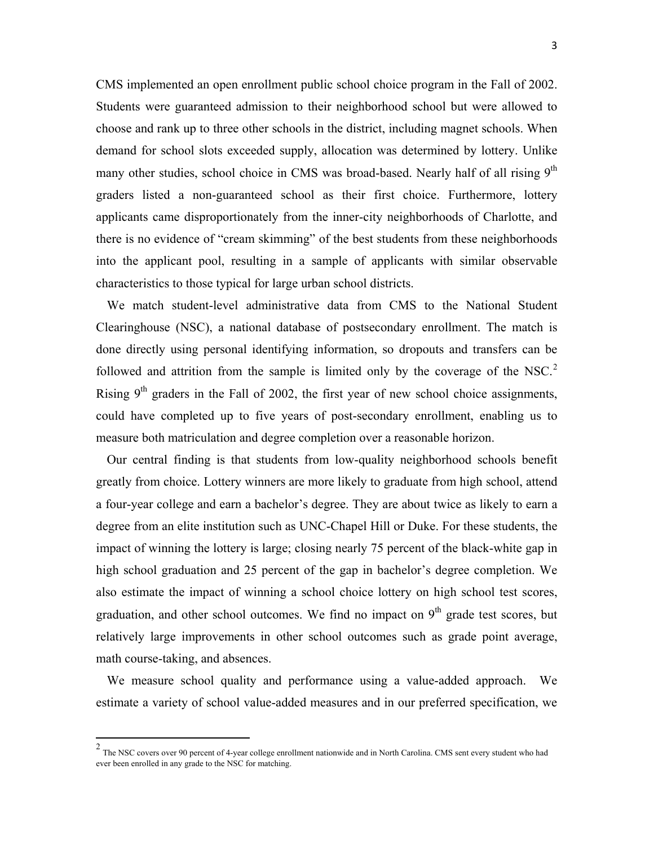CMS implemented an open enrollment public school choice program in the Fall of 2002. Students were guaranteed admission to their neighborhood school but were allowed to choose and rank up to three other schools in the district, including magnet schools. When demand for school slots exceeded supply, allocation was determined by lottery. Unlike many other studies, school choice in CMS was broad-based. Nearly half of all rising 9<sup>th</sup> graders listed a non-guaranteed school as their first choice. Furthermore, lottery applicants came disproportionately from the inner-city neighborhoods of Charlotte, and there is no evidence of "cream skimming" of the best students from these neighborhoods into the applicant pool, resulting in a sample of applicants with similar observable characteristics to those typical for large urban school districts.

We match student-level administrative data from CMS to the National Student Clearinghouse (NSC), a national database of postsecondary enrollment. The match is done directly using personal identifying information, so dropouts and transfers can be followed and attrition from the sample is limited only by the coverage of the NSC.<sup>2</sup> Rising  $9<sup>th</sup>$  graders in the Fall of 2002, the first year of new school choice assignments, could have completed up to five years of post-secondary enrollment, enabling us to measure both matriculation and degree completion over a reasonable horizon.

Our central finding is that students from low-quality neighborhood schools benefit greatly from choice. Lottery winners are more likely to graduate from high school, attend a four-year college and earn a bachelor's degree. They are about twice as likely to earn a degree from an elite institution such as UNC-Chapel Hill or Duke. For these students, the impact of winning the lottery is large; closing nearly 75 percent of the black-white gap in high school graduation and 25 percent of the gap in bachelor's degree completion. We also estimate the impact of winning a school choice lottery on high school test scores, graduation, and other school outcomes. We find no impact on  $9<sup>th</sup>$  grade test scores, but relatively large improvements in other school outcomes such as grade point average, math course-taking, and absences.

We measure school quality and performance using a value-added approach. We estimate a variety of school value-added measures and in our preferred specification, we

 $^2$  The NSC covers over 90 percent of 4-year college enrollment nationwide and in North Carolina. CMS sent every student who had ever been enrolled in any grade to the NSC for matching.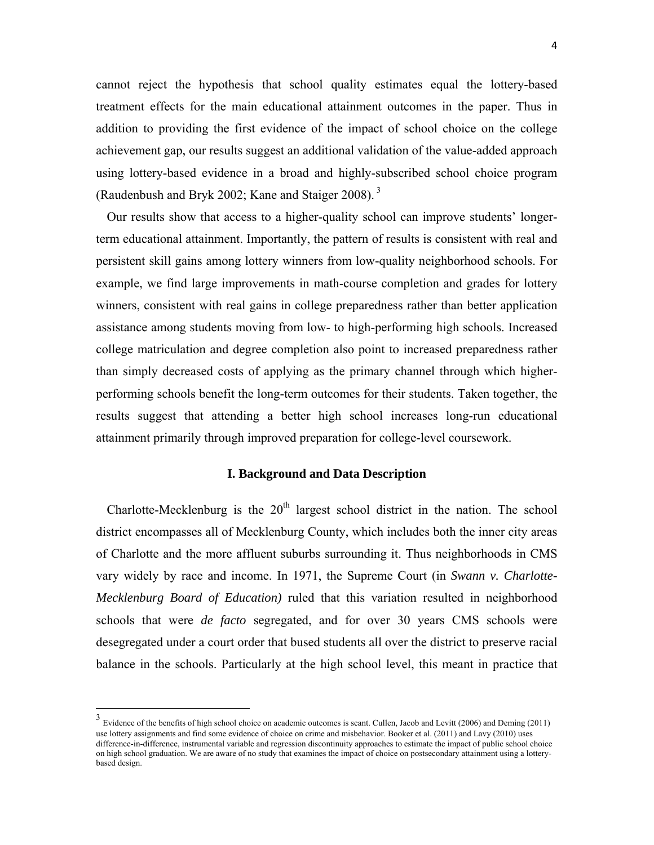cannot reject the hypothesis that school quality estimates equal the lottery-based treatment effects for the main educational attainment outcomes in the paper. Thus in addition to providing the first evidence of the impact of school choice on the college achievement gap, our results suggest an additional validation of the value-added approach using lottery-based evidence in a broad and highly-subscribed school choice program (Raudenbush and Bryk 2002; Kane and Staiger 2008). 3

Our results show that access to a higher-quality school can improve students' longerterm educational attainment. Importantly, the pattern of results is consistent with real and persistent skill gains among lottery winners from low-quality neighborhood schools. For example, we find large improvements in math-course completion and grades for lottery winners, consistent with real gains in college preparedness rather than better application assistance among students moving from low- to high-performing high schools. Increased college matriculation and degree completion also point to increased preparedness rather than simply decreased costs of applying as the primary channel through which higherperforming schools benefit the long-term outcomes for their students. Taken together, the results suggest that attending a better high school increases long-run educational attainment primarily through improved preparation for college-level coursework.

## **I. Background and Data Description**

Charlotte-Mecklenburg is the  $20<sup>th</sup>$  largest school district in the nation. The school district encompasses all of Mecklenburg County, which includes both the inner city areas of Charlotte and the more affluent suburbs surrounding it. Thus neighborhoods in CMS vary widely by race and income. In 1971, the Supreme Court (in *Swann v. Charlotte-Mecklenburg Board of Education)* ruled that this variation resulted in neighborhood schools that were *de facto* segregated, and for over 30 years CMS schools were desegregated under a court order that bused students all over the district to preserve racial balance in the schools. Particularly at the high school level, this meant in practice that

<sup>&</sup>lt;sup>3</sup> Evidence of the benefits of high school choice on academic outcomes is scant. Cullen, Jacob and Levitt (2006) and Deming (2011) use lottery assignments and find some evidence of choice on crime and misbehavior. Booker et al. (2011) and Lavy (2010) uses difference-in-difference, instrumental variable and regression discontinuity approaches to estimate the impact of public school choice on high school graduation. We are aware of no study that examines the impact of choice on postsecondary attainment using a lotterybased design.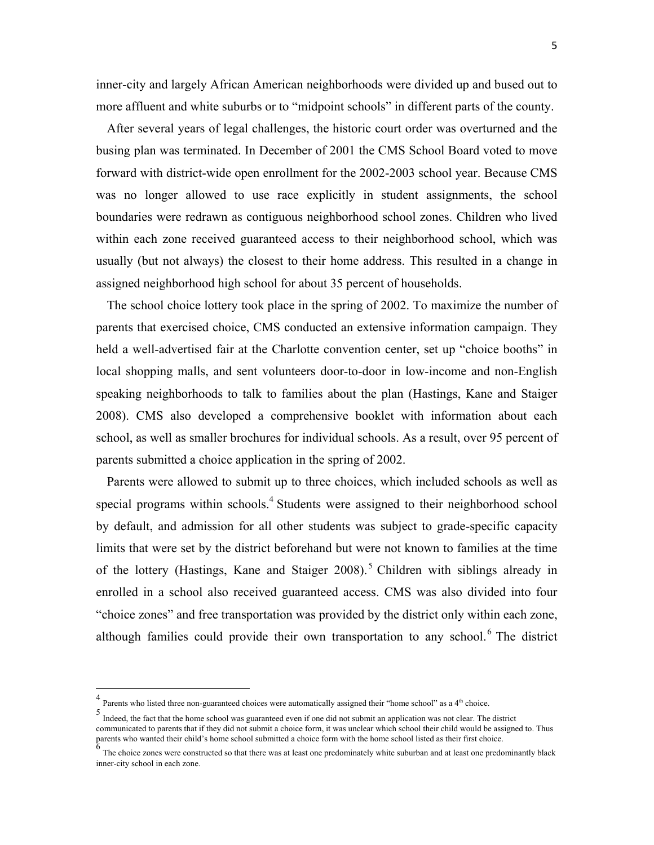inner-city and largely African American neighborhoods were divided up and bused out to more affluent and white suburbs or to "midpoint schools" in different parts of the county.

After several years of legal challenges, the historic court order was overturned and the busing plan was terminated. In December of 2001 the CMS School Board voted to move forward with district-wide open enrollment for the 2002-2003 school year. Because CMS was no longer allowed to use race explicitly in student assignments, the school boundaries were redrawn as contiguous neighborhood school zones. Children who lived within each zone received guaranteed access to their neighborhood school, which was usually (but not always) the closest to their home address. This resulted in a change in assigned neighborhood high school for about 35 percent of households.

The school choice lottery took place in the spring of 2002. To maximize the number of parents that exercised choice, CMS conducted an extensive information campaign. They held a well-advertised fair at the Charlotte convention center, set up "choice booths" in local shopping malls, and sent volunteers door-to-door in low-income and non-English speaking neighborhoods to talk to families about the plan (Hastings, Kane and Staiger 2008). CMS also developed a comprehensive booklet with information about each school, as well as smaller brochures for individual schools. As a result, over 95 percent of parents submitted a choice application in the spring of 2002.

Parents were allowed to submit up to three choices, which included schools as well as special programs within schools.<sup>4</sup> Students were assigned to their neighborhood school by default, and admission for all other students was subject to grade-specific capacity limits that were set by the district beforehand but were not known to families at the time of the lottery (Hastings, Kane and Staiger 2008).<sup>5</sup> Children with siblings already in enrolled in a school also received guaranteed access. CMS was also divided into four "choice zones" and free transportation was provided by the district only within each zone, although families could provide their own transportation to any school.<sup>6</sup> The district

 $^4$  Parents who listed three non-guaranteed choices were automatically assigned their "home school" as a  $4<sup>th</sup>$  choice.

<sup>5</sup> Indeed, the fact that the home school was guaranteed even if one did not submit an application was not clear. The district communicated to parents that if they did not submit a choice form, it was unclear which school their child would be assigned to. Thus parents who wanted their child's home school submitted a choice form with the home school listed as their first choice.<br>  $\frac{6}{12}$ 

The choice zones were constructed so that there was at least one predominately white suburban and at least one predominantly black inner-city school in each zone.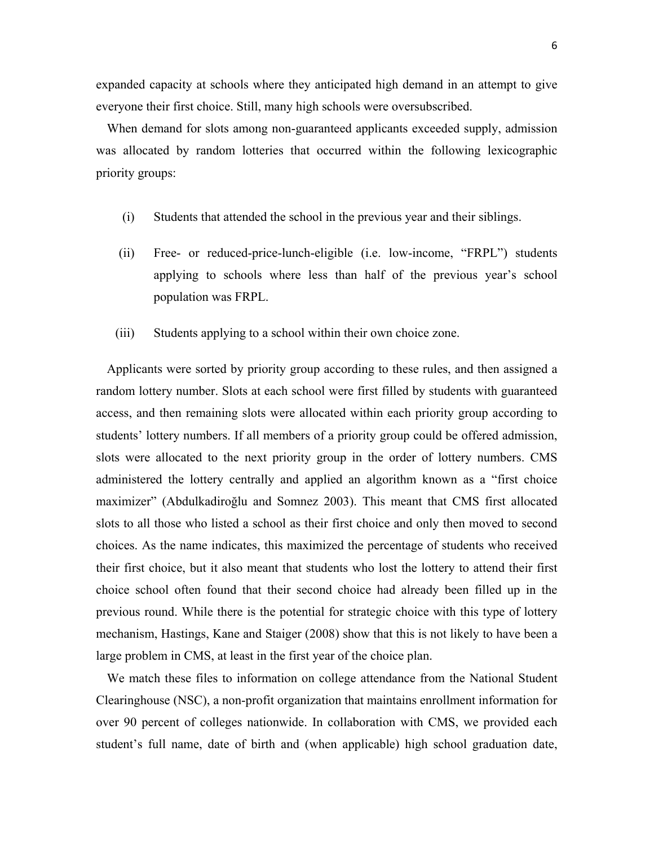expanded capacity at schools where they anticipated high demand in an attempt to give everyone their first choice. Still, many high schools were oversubscribed.

When demand for slots among non-guaranteed applicants exceeded supply, admission was allocated by random lotteries that occurred within the following lexicographic priority groups:

- (i) Students that attended the school in the previous year and their siblings.
- (ii) Free- or reduced-price-lunch-eligible (i.e. low-income, "FRPL") students applying to schools where less than half of the previous year's school population was FRPL.
- (iii) Students applying to a school within their own choice zone.

Applicants were sorted by priority group according to these rules, and then assigned a random lottery number. Slots at each school were first filled by students with guaranteed access, and then remaining slots were allocated within each priority group according to students' lottery numbers. If all members of a priority group could be offered admission, slots were allocated to the next priority group in the order of lottery numbers. CMS administered the lottery centrally and applied an algorithm known as a "first choice maximizer" (Abdulkadiroğlu and Somnez 2003). This meant that CMS first allocated slots to all those who listed a school as their first choice and only then moved to second choices. As the name indicates, this maximized the percentage of students who received their first choice, but it also meant that students who lost the lottery to attend their first choice school often found that their second choice had already been filled up in the previous round. While there is the potential for strategic choice with this type of lottery mechanism, Hastings, Kane and Staiger (2008) show that this is not likely to have been a large problem in CMS, at least in the first year of the choice plan.

We match these files to information on college attendance from the National Student Clearinghouse (NSC), a non-profit organization that maintains enrollment information for over 90 percent of colleges nationwide. In collaboration with CMS, we provided each student's full name, date of birth and (when applicable) high school graduation date,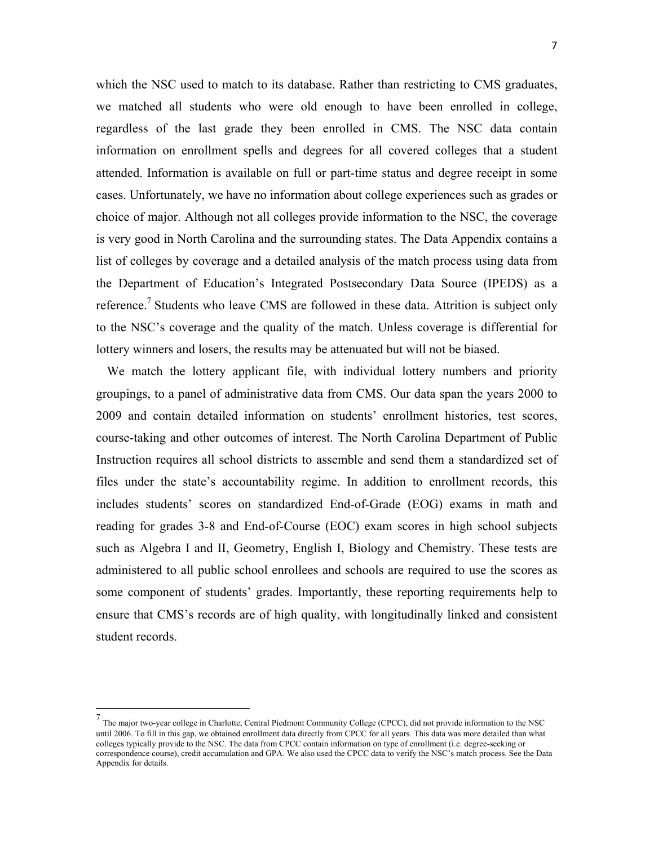which the NSC used to match to its database. Rather than restricting to CMS graduates, we matched all students who were old enough to have been enrolled in college, regardless of the last grade they been enrolled in CMS. The NSC data contain information on enrollment spells and degrees for all covered colleges that a student attended. Information is available on full or part-time status and degree receipt in some cases. Unfortunately, we have no information about college experiences such as grades or choice of major. Although not all colleges provide information to the NSC, the coverage is very good in North Carolina and the surrounding states. The Data Appendix contains a list of colleges by coverage and a detailed analysis of the match process using data from the Department of Education's Integrated Postsecondary Data Source (IPEDS) as a reference.<sup>7</sup> Students who leave CMS are followed in these data. Attrition is subject only to the NSC's coverage and the quality of the match. Unless coverage is differential for lottery winners and losers, the results may be attenuated but will not be biased.

We match the lottery applicant file, with individual lottery numbers and priority groupings, to a panel of administrative data from CMS. Our data span the years 2000 to 2009 and contain detailed information on students' enrollment histories, test scores, course-taking and other outcomes of interest. The North Carolina Department of Public Instruction requires all school districts to assemble and send them a standardized set of files under the state's accountability regime. In addition to enrollment records, this includes students' scores on standardized End-of-Grade (EOG) exams in math and reading for grades 3-8 and End-of-Course (EOC) exam scores in high school subjects such as Algebra I and II, Geometry, English I, Biology and Chemistry. These tests are administered to all public school enrollees and schools are required to use the scores as some component of students' grades. Importantly, these reporting requirements help to ensure that CMS's records are of high quality, with longitudinally linked and consistent student records.

<sup>&</sup>lt;sup>7</sup> The major two-year college in Charlotte, Central Piedmont Community College (CPCC), did not provide information to the NSC until 2006. To fill in this gap, we obtained enrollment data directly from CPCC for all years. This data was more detailed than what colleges typically provide to the NSC. The data from CPCC contain information on type of enrollment (i.e. degree-seeking or correspondence course), credit accumulation and GPA. We also used the CPCC data to verify the NSC's match process. See the Data Appendix for details.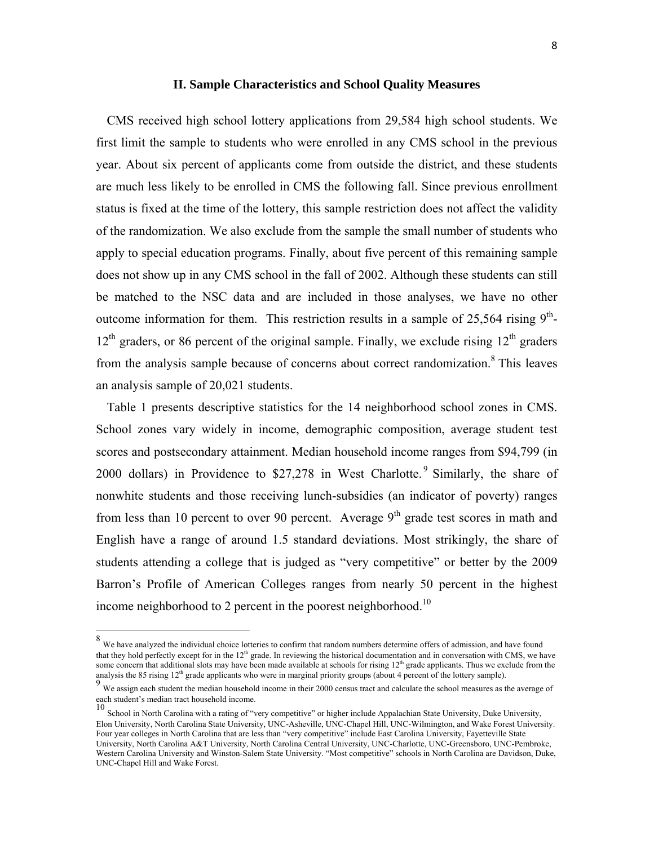#### **II. Sample Characteristics and School Quality Measures**

CMS received high school lottery applications from 29,584 high school students. We first limit the sample to students who were enrolled in any CMS school in the previous year. About six percent of applicants come from outside the district, and these students are much less likely to be enrolled in CMS the following fall. Since previous enrollment status is fixed at the time of the lottery, this sample restriction does not affect the validity of the randomization. We also exclude from the sample the small number of students who apply to special education programs. Finally, about five percent of this remaining sample does not show up in any CMS school in the fall of 2002. Although these students can still be matched to the NSC data and are included in those analyses, we have no other outcome information for them. This restriction results in a sample of 25,564 rising  $9<sup>th</sup>$ .  $12<sup>th</sup>$  graders, or 86 percent of the original sample. Finally, we exclude rising  $12<sup>th</sup>$  graders from the analysis sample because of concerns about correct randomization.<sup>8</sup> This leaves an analysis sample of 20,021 students.

Table 1 presents descriptive statistics for the 14 neighborhood school zones in CMS. School zones vary widely in income, demographic composition, average student test scores and postsecondary attainment. Median household income ranges from \$94,799 (in 2000 dollars) in Providence to \$27,278 in West Charlotte.<sup>9</sup> Similarly, the share of nonwhite students and those receiving lunch-subsidies (an indicator of poverty) ranges from less than 10 percent to over 90 percent. Average  $9<sup>th</sup>$  grade test scores in math and English have a range of around 1.5 standard deviations. Most strikingly, the share of students attending a college that is judged as "very competitive" or better by the 2009 Barron's Profile of American Colleges ranges from nearly 50 percent in the highest income neighborhood to 2 percent in the poorest neighborhood.<sup>10</sup>

 $8\,$  We have analyzed the individual choice lotteries to confirm that random numbers determine offers of admission, and have found that they hold perfectly except for in the 12<sup>th</sup> grade. In reviewing the historical documentation and in conversation with CMS, we have some concern that additional slots may have been made available at schools for rising 12<sup>th</sup> grade applicants. Thus we exclude from the analysis the 85 rising  $12<sup>th</sup>$  grade applicants who were in marginal priority groups (about 4 percent of the lottery sample).

We assign each student the median household income in their 2000 census tract and calculate the school measures as the average of each student's median tract household income.

<sup>10&</sup>lt;br>School in North Carolina with a rating of "very competitive" or higher include Appalachian State University, Duke University, Elon University, North Carolina State University, UNC-Asheville, UNC-Chapel Hill, UNC-Wilmington, and Wake Forest University. Four year colleges in North Carolina that are less than "very competitive" include East Carolina University, Fayetteville State University, North Carolina A&T University, North Carolina Central University, UNC-Charlotte, UNC-Greensboro, UNC-Pembroke, Western Carolina University and Winston-Salem State University. "Most competitive" schools in North Carolina are Davidson, Duke, UNC-Chapel Hill and Wake Forest.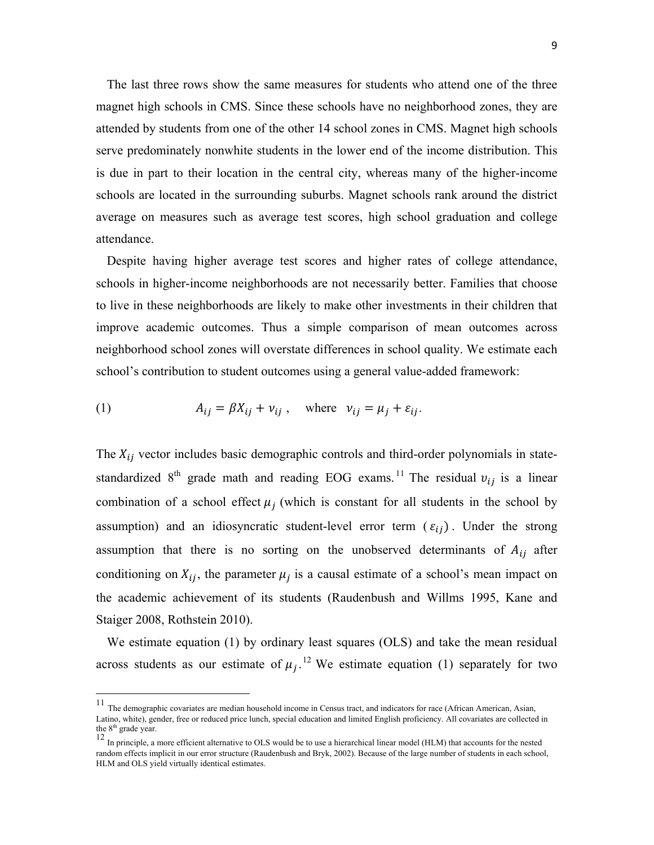The last three rows show the same measures for students who attend one of the three magnet high schools in CMS. Since these schools have no neighborhood zones, they are attended by students from one of the other 14 school zones in CMS. Magnet high schools serve predominately nonwhite students in the lower end of the income distribution. This is due in part to their location in the central city, whereas many of the higher-income schools are located in the surrounding suburbs. Magnet schools rank around the district average on measures such as average test scores, high school graduation and college attendance.

Despite having higher average test scores and higher rates of college attendance, schools in higher-income neighborhoods are not necessarily better. Families that choose to live in these neighborhoods are likely to make other investments in their children that improve academic outcomes. Thus a simple comparison of mean outcomes across neighborhood school zones will overstate differences in school quality. We estimate each school's contribution to student outcomes using a general value-added framework:

(1) 
$$
A_{ij} = \beta X_{ij} + v_{ij}, \text{ where } v_{ij} = \mu_j + \varepsilon_{ij}.
$$

The  $X_{ij}$  vector includes basic demographic controls and third-order polynomials in statestandardized 8<sup>th</sup> grade math and reading EOG exams.<sup>11</sup> The residual  $v_{ij}$  is a linear combination of a school effect  $\mu_i$  (which is constant for all students in the school by assumption) and an idiosyncratic student-level error term  $(\varepsilon_{ij})$ . Under the strong assumption that there is no sorting on the unobserved determinants of  $A_{ij}$  after conditioning on  $X_{ij}$ , the parameter  $\mu_j$  is a causal estimate of a school's mean impact on the academic achievement of its students (Raudenbush and Willms 1995, Kane and Staiger 2008, Rothstein 2010).

We estimate equation (1) by ordinary least squares (OLS) and take the mean residual across students as our estimate of  $\mu_j$ .<sup>12</sup> We estimate equation (1) separately for two

<sup>11</sup> The demographic covariates are median household income in Census tract, and indicators for race (African American, Asian, Latino, white), gender, free or reduced price lunch, special education and limited English proficiency. All covariates are collected in the  $8<sup>th</sup>$  grade year.

<sup>&</sup>lt;sup>12</sup> In principle, a more efficient alternative to OLS would be to use a hierarchical linear model (HLM) that accounts for the nested<br>For the nested seeds as a second set of the nested seeds as a second set of the new seco random effects implicit in our error structure (Raudenbush and Bryk, 2002). Because of the large number of students in each school, HLM and OLS yield virtually identical estimates.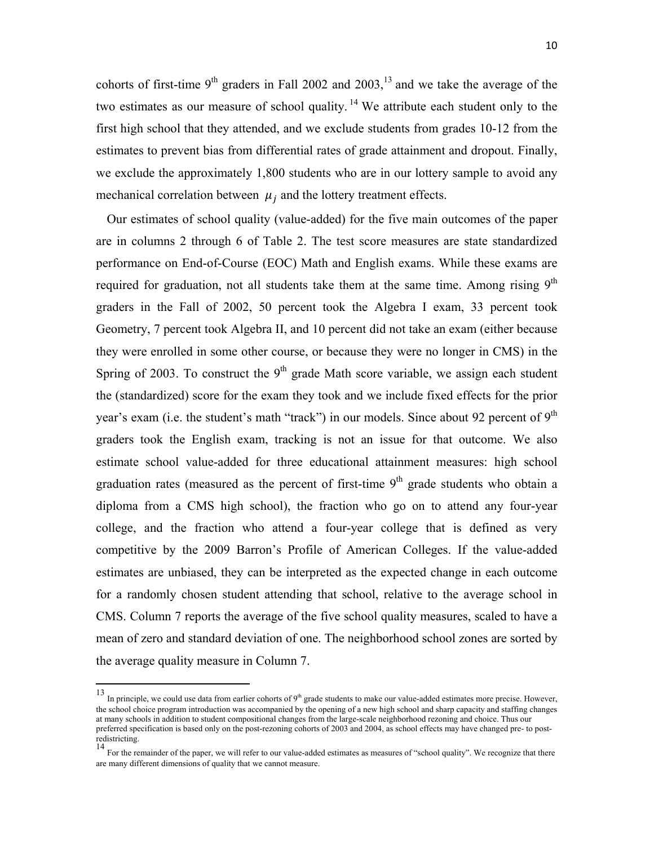cohorts of first-time  $9<sup>th</sup>$  graders in Fall 2002 and 2003,<sup>13</sup> and we take the average of the two estimates as our measure of school quality.<sup>14</sup> We attribute each student only to the first high school that they attended, and we exclude students from grades 10-12 from the estimates to prevent bias from differential rates of grade attainment and dropout. Finally, we exclude the approximately 1,800 students who are in our lottery sample to avoid any mechanical correlation between  $\mu_i$  and the lottery treatment effects.

Our estimates of school quality (value-added) for the five main outcomes of the paper are in columns 2 through 6 of Table 2. The test score measures are state standardized performance on End-of-Course (EOC) Math and English exams. While these exams are required for graduation, not all students take them at the same time. Among rising  $9<sup>th</sup>$ graders in the Fall of 2002, 50 percent took the Algebra I exam, 33 percent took Geometry, 7 percent took Algebra II, and 10 percent did not take an exam (either because they were enrolled in some other course, or because they were no longer in CMS) in the Spring of 2003. To construct the  $9<sup>th</sup>$  grade Math score variable, we assign each student the (standardized) score for the exam they took and we include fixed effects for the prior year's exam (i.e. the student's math "track") in our models. Since about 92 percent of  $9<sup>th</sup>$ graders took the English exam, tracking is not an issue for that outcome. We also estimate school value-added for three educational attainment measures: high school graduation rates (measured as the percent of first-time  $9<sup>th</sup>$  grade students who obtain a diploma from a CMS high school), the fraction who go on to attend any four-year college, and the fraction who attend a four-year college that is defined as very competitive by the 2009 Barron's Profile of American Colleges. If the value-added estimates are unbiased, they can be interpreted as the expected change in each outcome for a randomly chosen student attending that school, relative to the average school in CMS. Column 7 reports the average of the five school quality measures, scaled to have a mean of zero and standard deviation of one. The neighborhood school zones are sorted by the average quality measure in Column 7.

<sup>&</sup>lt;sup>13</sup> In principle, we could use data from earlier cohorts of  $9<sup>th</sup>$  grade students to make our value-added estimates more precise. However, the school choice program introduction was accompanied by the opening of a new high school and sharp capacity and staffing changes at many schools in addition to student compositional changes from the large-scale neighborhood rezoning and choice. Thus our preferred specification is based only on the post-rezoning cohorts of 2003 and 2004, as school effects may have changed pre- to post-redistricting.

 $14$  For the remainder of the paper, we will refer to our value-added estimates as measures of "school quality". We recognize that there are many different dimensions of quality that we cannot measure.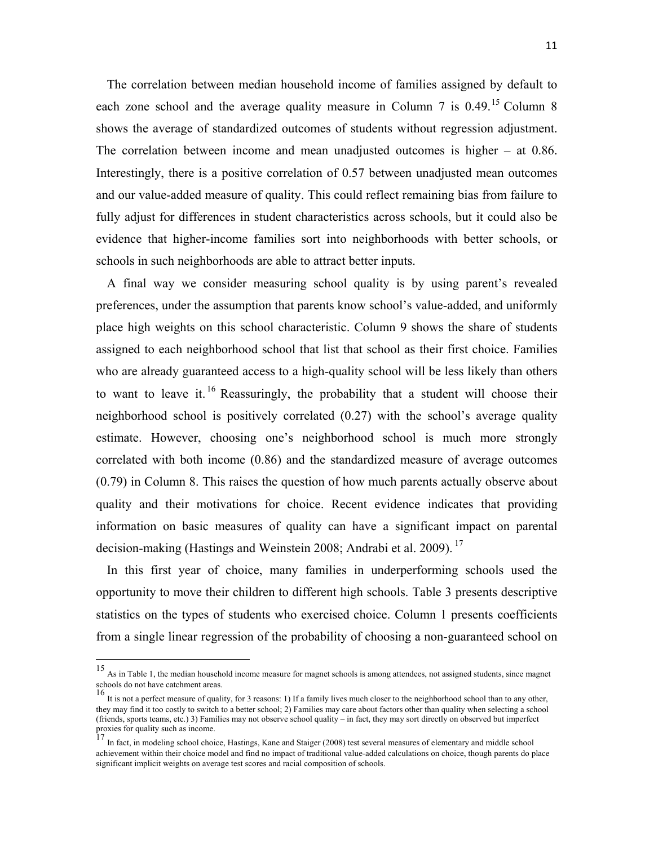The correlation between median household income of families assigned by default to each zone school and the average quality measure in Column  $7$  is 0.49.<sup>15</sup> Column 8 shows the average of standardized outcomes of students without regression adjustment. The correlation between income and mean unadjusted outcomes is higher – at 0.86. Interestingly, there is a positive correlation of 0.57 between unadjusted mean outcomes and our value-added measure of quality. This could reflect remaining bias from failure to fully adjust for differences in student characteristics across schools, but it could also be evidence that higher-income families sort into neighborhoods with better schools, or schools in such neighborhoods are able to attract better inputs.

A final way we consider measuring school quality is by using parent's revealed preferences, under the assumption that parents know school's value-added, and uniformly place high weights on this school characteristic. Column 9 shows the share of students assigned to each neighborhood school that list that school as their first choice. Families who are already guaranteed access to a high-quality school will be less likely than others to want to leave it.<sup>16</sup> Reassuringly, the probability that a student will choose their neighborhood school is positively correlated (0.27) with the school's average quality estimate. However, choosing one's neighborhood school is much more strongly correlated with both income (0.86) and the standardized measure of average outcomes (0.79) in Column 8. This raises the question of how much parents actually observe about quality and their motivations for choice. Recent evidence indicates that providing information on basic measures of quality can have a significant impact on parental decision-making (Hastings and Weinstein 2008; Andrabi et al. 2009).<sup>17</sup>

In this first year of choice, many families in underperforming schools used the opportunity to move their children to different high schools. Table 3 presents descriptive statistics on the types of students who exercised choice. Column 1 presents coefficients from a single linear regression of the probability of choosing a non-guaranteed school on

<sup>15</sup> As in Table 1, the median household income measure for magnet schools is among attendees, not assigned students, since magnet schools do not have catchment areas.

<sup>16</sup> It is not a perfect measure of quality, for 3 reasons: 1) If a family lives much closer to the neighborhood school than to any other, they may find it too costly to switch to a better school; 2) Families may care about factors other than quality when selecting a school (friends, sports teams, etc.) 3) Families may not observe school quality – in fact, they may sort directly on observed but imperfect  $\sim$ ,  $\sim$   $\mu$  $\omega$ , is it canns, etc.) 3) Family such as income.<br>17.

<sup>17</sup> In fact, in modeling school choice, Hastings, Kane and Staiger (2008) test several measures of elementary and middle school achievement within their choice model and find no impact of traditional value-added calculations on choice, though parents do place significant implicit weights on average test scores and racial composition of schools.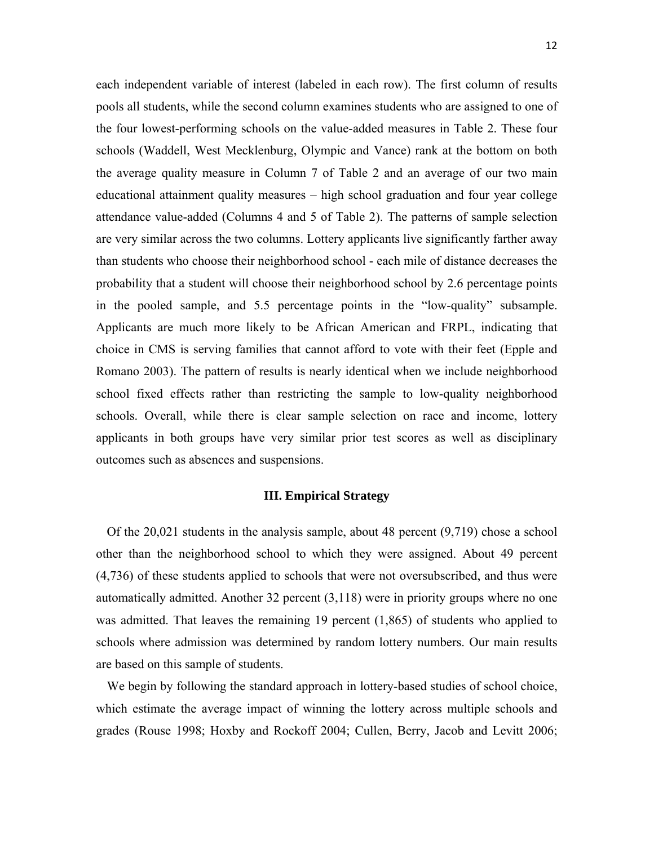each independent variable of interest (labeled in each row). The first column of results pools all students, while the second column examines students who are assigned to one of the four lowest-performing schools on the value-added measures in Table 2. These four schools (Waddell, West Mecklenburg, Olympic and Vance) rank at the bottom on both the average quality measure in Column 7 of Table 2 and an average of our two main educational attainment quality measures – high school graduation and four year college attendance value-added (Columns 4 and 5 of Table 2). The patterns of sample selection are very similar across the two columns. Lottery applicants live significantly farther away than students who choose their neighborhood school - each mile of distance decreases the probability that a student will choose their neighborhood school by 2.6 percentage points in the pooled sample, and 5.5 percentage points in the "low-quality" subsample. Applicants are much more likely to be African American and FRPL, indicating that choice in CMS is serving families that cannot afford to vote with their feet (Epple and Romano 2003). The pattern of results is nearly identical when we include neighborhood school fixed effects rather than restricting the sample to low-quality neighborhood schools. Overall, while there is clear sample selection on race and income, lottery applicants in both groups have very similar prior test scores as well as disciplinary outcomes such as absences and suspensions.

# **III. Empirical Strategy**

Of the 20,021 students in the analysis sample, about 48 percent (9,719) chose a school other than the neighborhood school to which they were assigned. About 49 percent (4,736) of these students applied to schools that were not oversubscribed, and thus were automatically admitted. Another 32 percent (3,118) were in priority groups where no one was admitted. That leaves the remaining 19 percent (1,865) of students who applied to schools where admission was determined by random lottery numbers. Our main results are based on this sample of students.

We begin by following the standard approach in lottery-based studies of school choice, which estimate the average impact of winning the lottery across multiple schools and grades (Rouse 1998; Hoxby and Rockoff 2004; Cullen, Berry, Jacob and Levitt 2006;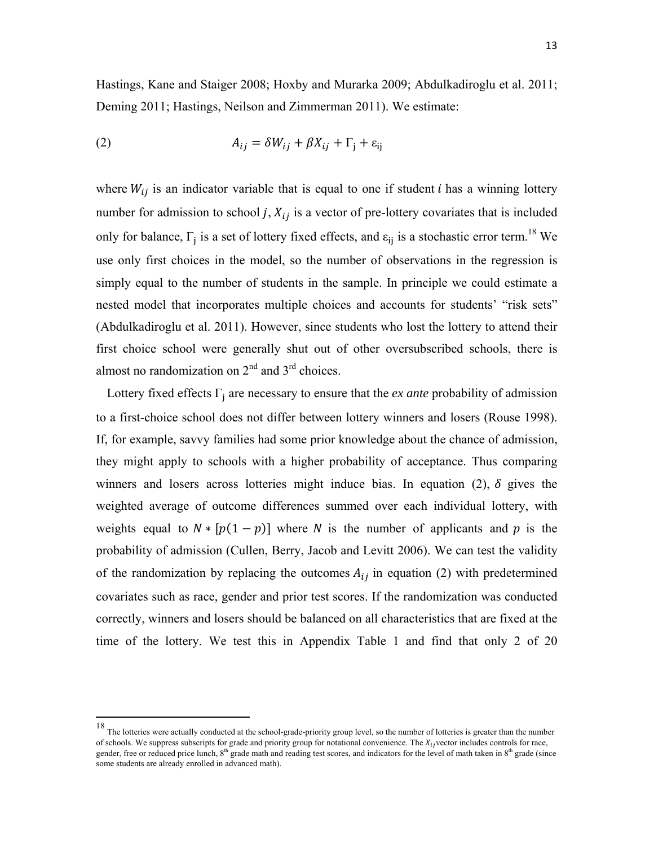Hastings, Kane and Staiger 2008; Hoxby and Murarka 2009; Abdulkadiroglu et al. 2011; Deming 2011; Hastings, Neilson and Zimmerman 2011). We estimate:

(2) 
$$
A_{ij} = \delta W_{ij} + \beta X_{ij} + \Gamma_j + \varepsilon_{ij}
$$

where  $W_{ij}$  is an indicator variable that is equal to one if student *i* has a winning lottery number for admission to school  $j$ ,  $X_{ij}$  is a vector of pre-lottery covariates that is included only for balance,  $\Gamma_i$  is a set of lottery fixed effects, and  $\varepsilon_{ij}$  is a stochastic error term.<sup>18</sup> We use only first choices in the model, so the number of observations in the regression is simply equal to the number of students in the sample. In principle we could estimate a nested model that incorporates multiple choices and accounts for students' "risk sets" (Abdulkadiroglu et al. 2011). However, since students who lost the lottery to attend their first choice school were generally shut out of other oversubscribed schools, there is almost no randomization on  $2<sup>nd</sup>$  and  $3<sup>rd</sup>$  choices.

Lottery fixed effects  $\Gamma_i$  are necessary to ensure that the *ex ante* probability of admission to a first-choice school does not differ between lottery winners and losers (Rouse 1998). If, for example, savvy families had some prior knowledge about the chance of admission, they might apply to schools with a higher probability of acceptance. Thus comparing winners and losers across lotteries might induce bias. In equation (2),  $\delta$  gives the weighted average of outcome differences summed over each individual lottery, with weights equal to  $N * [p(1-p)]$  where N is the number of applicants and p is the probability of admission (Cullen, Berry, Jacob and Levitt 2006). We can test the validity of the randomization by replacing the outcomes  $A_{ij}$  in equation (2) with predetermined covariates such as race, gender and prior test scores. If the randomization was conducted correctly, winners and losers should be balanced on all characteristics that are fixed at the time of the lottery. We test this in Appendix Table 1 and find that only 2 of 20

<sup>18</sup> The lotteries were actually conducted at the school-grade-priority group level, so the number of lotteries is greater than the number of schools. We suppress subscripts for grade and priority group for notational convenience. The  $X_{ij}$  vector includes controls for race, gender, free or reduced price lunch,  $8<sup>th</sup>$  grade math and reading test scores, and indicators for the level of math taken in  $8<sup>th</sup>$  grade (since some students are already enrolled in advanced math).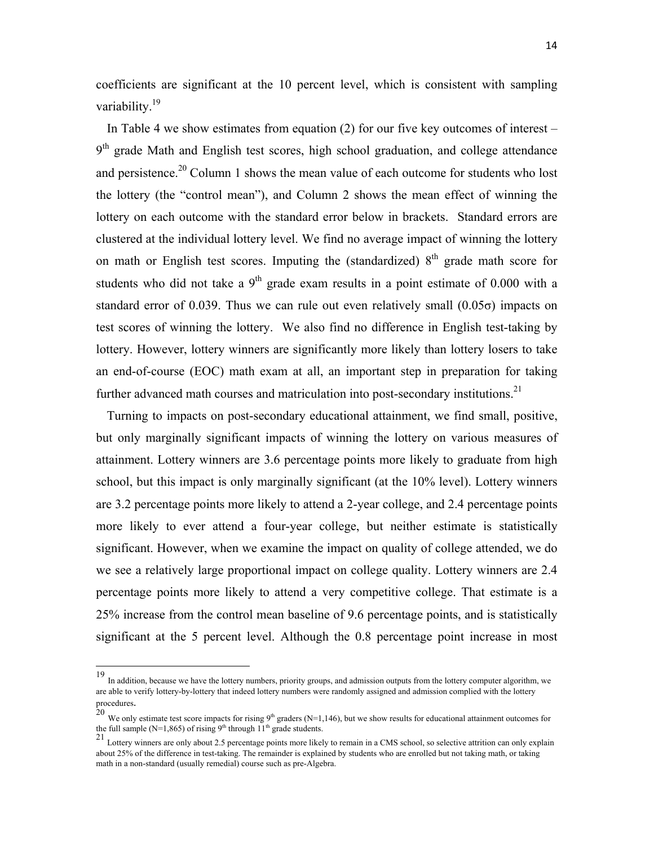coefficients are significant at the 10 percent level, which is consistent with sampling variability.<sup>19</sup>

In Table 4 we show estimates from equation (2) for our five key outcomes of interest –  $9<sup>th</sup>$  grade Math and English test scores, high school graduation, and college attendance and persistence.<sup>20</sup> Column 1 shows the mean value of each outcome for students who lost the lottery (the "control mean"), and Column 2 shows the mean effect of winning the lottery on each outcome with the standard error below in brackets. Standard errors are clustered at the individual lottery level. We find no average impact of winning the lottery on math or English test scores. Imputing the (standardized)  $8<sup>th</sup>$  grade math score for students who did not take a  $9<sup>th</sup>$  grade exam results in a point estimate of 0.000 with a standard error of 0.039. Thus we can rule out even relatively small  $(0.05\sigma)$  impacts on test scores of winning the lottery. We also find no difference in English test-taking by lottery. However, lottery winners are significantly more likely than lottery losers to take an end-of-course (EOC) math exam at all, an important step in preparation for taking further advanced math courses and matriculation into post-secondary institutions.<sup>21</sup>

Turning to impacts on post-secondary educational attainment, we find small, positive, but only marginally significant impacts of winning the lottery on various measures of attainment. Lottery winners are 3.6 percentage points more likely to graduate from high school, but this impact is only marginally significant (at the 10% level). Lottery winners are 3.2 percentage points more likely to attend a 2-year college, and 2.4 percentage points more likely to ever attend a four-year college, but neither estimate is statistically significant. However, when we examine the impact on quality of college attended, we do we see a relatively large proportional impact on college quality. Lottery winners are 2.4 percentage points more likely to attend a very competitive college. That estimate is a 25% increase from the control mean baseline of 9.6 percentage points, and is statistically significant at the 5 percent level. Although the 0.8 percentage point increase in most

<sup>19</sup> In addition, because we have the lottery numbers, priority groups, and admission outputs from the lottery computer algorithm, we are able to verify lottery-by-lottery that indeed lottery numbers were randomly assigned and admission complied with the lottery

procedures.<br><sup>20</sup> We only estimate test score impacts for rising 9<sup>th</sup> graders (N=1,146), but we show results for educational attainment outcomes for the full sample (N=1,865) of rising 9<sup>th</sup> through 11<sup>th</sup> grade students.

<sup>&</sup>lt;sup>21</sup> Lottery winners are only about 2.5 percentage points more likely to remain in a CMS school, so selective attrition can only explain about 25% of the difference in test-taking. The remainder is explained by students who are enrolled but not taking math, or taking math in a non-standard (usually remedial) course such as pre-Algebra.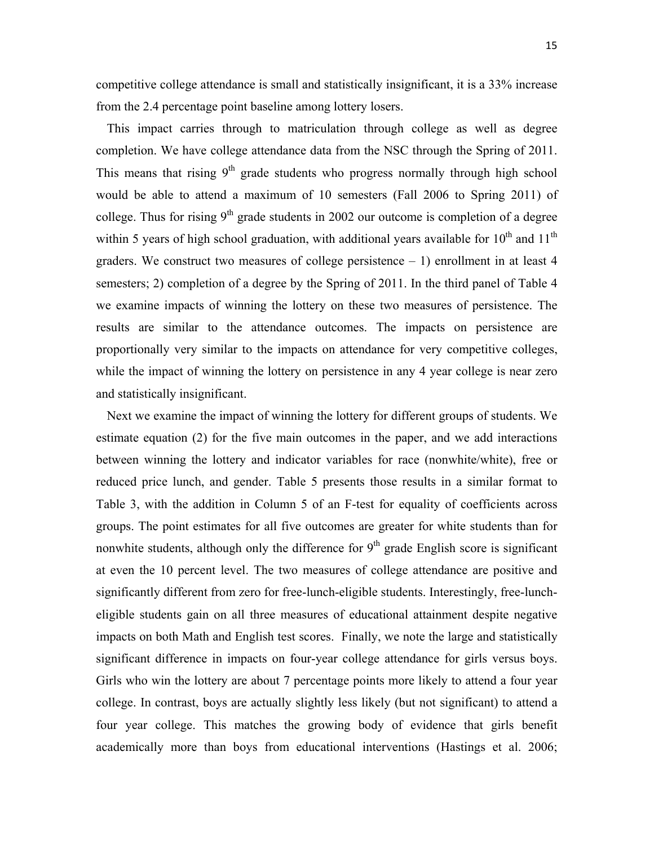competitive college attendance is small and statistically insignificant, it is a 33% increase from the 2.4 percentage point baseline among lottery losers.

This impact carries through to matriculation through college as well as degree completion. We have college attendance data from the NSC through the Spring of 2011. This means that rising  $9<sup>th</sup>$  grade students who progress normally through high school would be able to attend a maximum of 10 semesters (Fall 2006 to Spring 2011) of college. Thus for rising  $9<sup>th</sup>$  grade students in 2002 our outcome is completion of a degree within 5 years of high school graduation, with additional years available for  $10^{th}$  and  $11^{th}$ graders. We construct two measures of college persistence  $-1$ ) enrollment in at least 4 semesters; 2) completion of a degree by the Spring of 2011. In the third panel of Table 4 we examine impacts of winning the lottery on these two measures of persistence. The results are similar to the attendance outcomes. The impacts on persistence are proportionally very similar to the impacts on attendance for very competitive colleges, while the impact of winning the lottery on persistence in any 4 year college is near zero and statistically insignificant.

Next we examine the impact of winning the lottery for different groups of students. We estimate equation (2) for the five main outcomes in the paper, and we add interactions between winning the lottery and indicator variables for race (nonwhite/white), free or reduced price lunch, and gender. Table 5 presents those results in a similar format to Table 3, with the addition in Column 5 of an F-test for equality of coefficients across groups. The point estimates for all five outcomes are greater for white students than for nonwhite students, although only the difference for  $9<sup>th</sup>$  grade English score is significant at even the 10 percent level. The two measures of college attendance are positive and significantly different from zero for free-lunch-eligible students. Interestingly, free-luncheligible students gain on all three measures of educational attainment despite negative impacts on both Math and English test scores. Finally, we note the large and statistically significant difference in impacts on four-year college attendance for girls versus boys. Girls who win the lottery are about 7 percentage points more likely to attend a four year college. In contrast, boys are actually slightly less likely (but not significant) to attend a four year college. This matches the growing body of evidence that girls benefit academically more than boys from educational interventions (Hastings et al. 2006;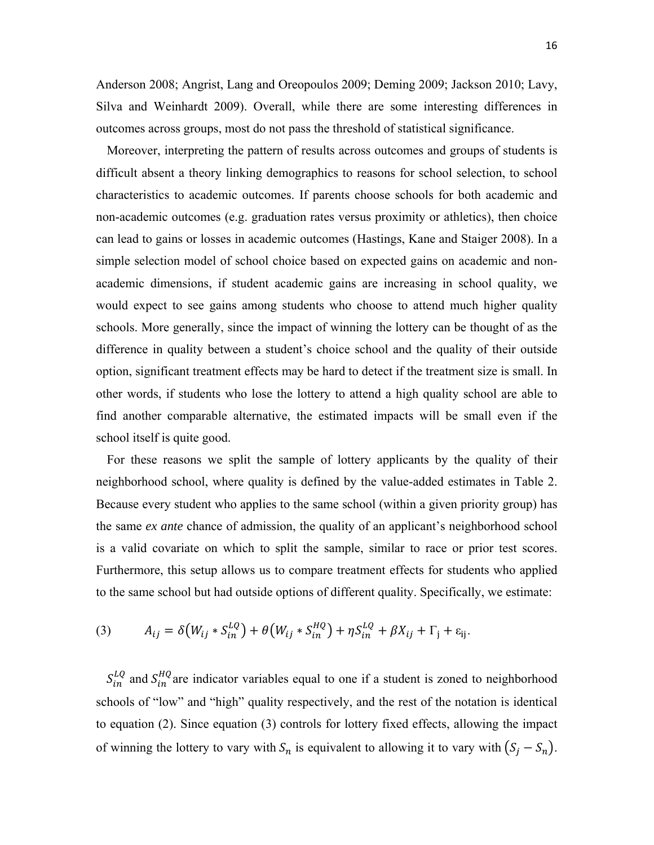Anderson 2008; Angrist, Lang and Oreopoulos 2009; Deming 2009; Jackson 2010; Lavy, Silva and Weinhardt 2009). Overall, while there are some interesting differences in outcomes across groups, most do not pass the threshold of statistical significance.

Moreover, interpreting the pattern of results across outcomes and groups of students is difficult absent a theory linking demographics to reasons for school selection, to school characteristics to academic outcomes. If parents choose schools for both academic and non-academic outcomes (e.g. graduation rates versus proximity or athletics), then choice can lead to gains or losses in academic outcomes (Hastings, Kane and Staiger 2008). In a simple selection model of school choice based on expected gains on academic and nonacademic dimensions, if student academic gains are increasing in school quality, we would expect to see gains among students who choose to attend much higher quality schools. More generally, since the impact of winning the lottery can be thought of as the difference in quality between a student's choice school and the quality of their outside option, significant treatment effects may be hard to detect if the treatment size is small. In other words, if students who lose the lottery to attend a high quality school are able to find another comparable alternative, the estimated impacts will be small even if the school itself is quite good.

For these reasons we split the sample of lottery applicants by the quality of their neighborhood school, where quality is defined by the value-added estimates in Table 2. Because every student who applies to the same school (within a given priority group) has the same *ex ante* chance of admission, the quality of an applicant's neighborhood school is a valid covariate on which to split the sample, similar to race or prior test scores. Furthermore, this setup allows us to compare treatment effects for students who applied to the same school but had outside options of different quality. Specifically, we estimate:

(3) 
$$
A_{ij} = \delta(W_{ij} * S_{in}^{LQ}) + \theta(W_{ij} * S_{in}^{HQ}) + \eta S_{in}^{LQ} + \beta X_{ij} + \Gamma_j + \varepsilon_{ij}.
$$

 $S_{in}^{LQ}$  and  $S_{in}^{HQ}$  are indicator variables equal to one if a student is zoned to neighborhood schools of "low" and "high" quality respectively, and the rest of the notation is identical to equation (2). Since equation (3) controls for lottery fixed effects, allowing the impact of winning the lottery to vary with  $S_n$  is equivalent to allowing it to vary with  $(S_i - S_n)$ .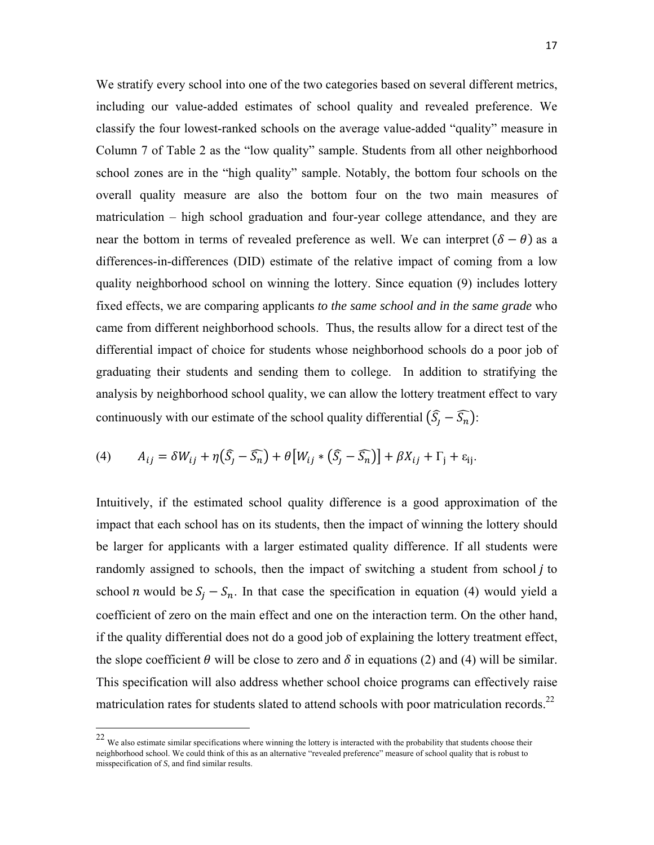We stratify every school into one of the two categories based on several different metrics, including our value-added estimates of school quality and revealed preference. We classify the four lowest-ranked schools on the average value-added "quality" measure in Column 7 of Table 2 as the "low quality" sample. Students from all other neighborhood school zones are in the "high quality" sample. Notably, the bottom four schools on the overall quality measure are also the bottom four on the two main measures of matriculation – high school graduation and four-year college attendance, and they are near the bottom in terms of revealed preference as well. We can interpret  $(\delta - \theta)$  as a differences-in-differences (DID) estimate of the relative impact of coming from a low quality neighborhood school on winning the lottery. Since equation (9) includes lottery fixed effects, we are comparing applicants *to the same school and in the same grade* who came from different neighborhood schools. Thus, the results allow for a direct test of the differential impact of choice for students whose neighborhood schools do a poor job of graduating their students and sending them to college. In addition to stratifying the analysis by neighborhood school quality, we can allow the lottery treatment effect to vary continuously with our estimate of the school quality differential  $(\widehat{S}_j - \widehat{S_n})$ :

(4) 
$$
A_{ij} = \delta W_{ij} + \eta (\widehat{S}_j - \widehat{S}_n) + \theta [W_{ij} * (\widehat{S}_j - \widehat{S}_n)] + \beta X_{ij} + \Gamma_j + \varepsilon_{ij}.
$$

Intuitively, if the estimated school quality difference is a good approximation of the impact that each school has on its students, then the impact of winning the lottery should be larger for applicants with a larger estimated quality difference. If all students were randomly assigned to schools, then the impact of switching a student from school  $j$  to school *n* would be  $S_i - S_n$ . In that case the specification in equation (4) would yield a coefficient of zero on the main effect and one on the interaction term. On the other hand, if the quality differential does not do a good job of explaining the lottery treatment effect, the slope coefficient  $\theta$  will be close to zero and  $\delta$  in equations (2) and (4) will be similar. This specification will also address whether school choice programs can effectively raise matriculation rates for students slated to attend schools with poor matriculation records.<sup>22</sup>

 $22$  We also estimate similar specifications where winning the lottery is interacted with the probability that students choose their neighborhood school. We could think of this as an alternative "revealed preference" measure of school quality that is robust to misspecification of *S*, and find similar results.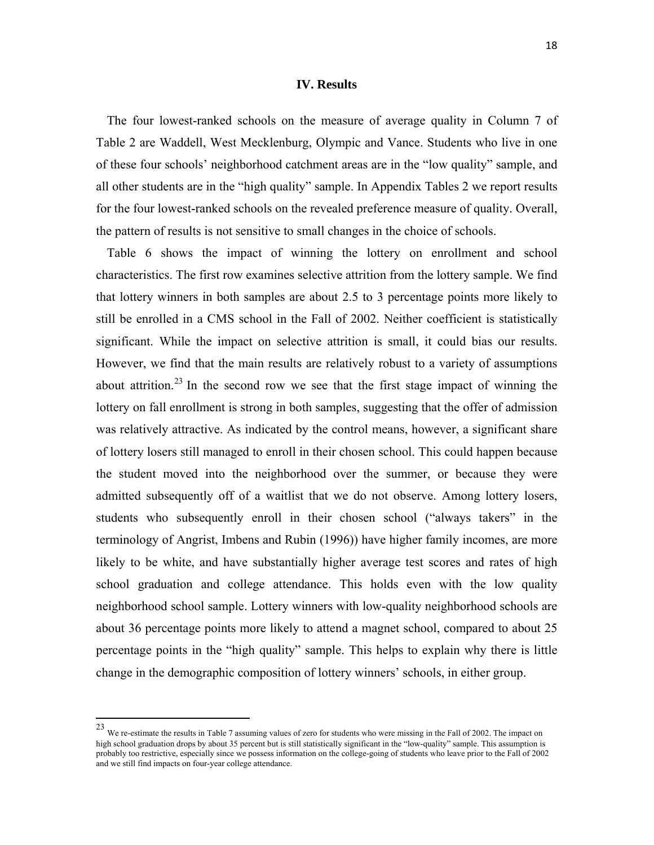#### **IV. Results**

The four lowest-ranked schools on the measure of average quality in Column 7 of Table 2 are Waddell, West Mecklenburg, Olympic and Vance. Students who live in one of these four schools' neighborhood catchment areas are in the "low quality" sample, and all other students are in the "high quality" sample. In Appendix Tables 2 we report results for the four lowest-ranked schools on the revealed preference measure of quality. Overall, the pattern of results is not sensitive to small changes in the choice of schools.

Table 6 shows the impact of winning the lottery on enrollment and school characteristics. The first row examines selective attrition from the lottery sample. We find that lottery winners in both samples are about 2.5 to 3 percentage points more likely to still be enrolled in a CMS school in the Fall of 2002. Neither coefficient is statistically significant. While the impact on selective attrition is small, it could bias our results. However, we find that the main results are relatively robust to a variety of assumptions about attrition.<sup>23</sup> In the second row we see that the first stage impact of winning the lottery on fall enrollment is strong in both samples, suggesting that the offer of admission was relatively attractive. As indicated by the control means, however, a significant share of lottery losers still managed to enroll in their chosen school. This could happen because the student moved into the neighborhood over the summer, or because they were admitted subsequently off of a waitlist that we do not observe. Among lottery losers, students who subsequently enroll in their chosen school ("always takers" in the terminology of Angrist, Imbens and Rubin (1996)) have higher family incomes, are more likely to be white, and have substantially higher average test scores and rates of high school graduation and college attendance. This holds even with the low quality neighborhood school sample. Lottery winners with low-quality neighborhood schools are about 36 percentage points more likely to attend a magnet school, compared to about 25 percentage points in the "high quality" sample. This helps to explain why there is little change in the demographic composition of lottery winners' schools, in either group.

<sup>23</sup> We re-estimate the results in Table 7 assuming values of zero for students who were missing in the Fall of 2002. The impact on high school graduation drops by about 35 percent but is still statistically significant in the "low-quality" sample. This assumption is probably too restrictive, especially since we possess information on the college-going of students who leave prior to the Fall of 2002 and we still find impacts on four-year college attendance.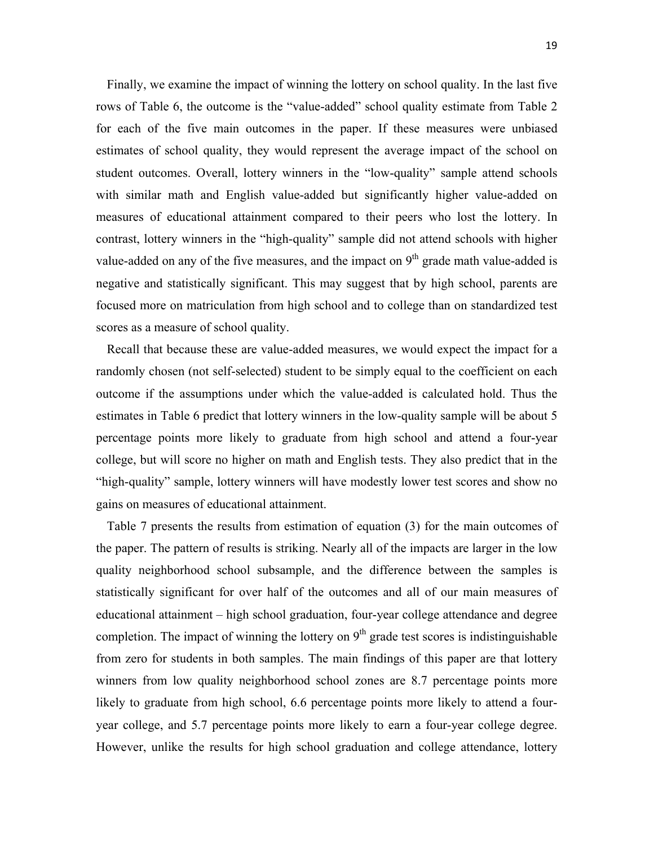Finally, we examine the impact of winning the lottery on school quality. In the last five rows of Table 6, the outcome is the "value-added" school quality estimate from Table 2 for each of the five main outcomes in the paper. If these measures were unbiased estimates of school quality, they would represent the average impact of the school on student outcomes. Overall, lottery winners in the "low-quality" sample attend schools with similar math and English value-added but significantly higher value-added on measures of educational attainment compared to their peers who lost the lottery. In contrast, lottery winners in the "high-quality" sample did not attend schools with higher value-added on any of the five measures, and the impact on  $9<sup>th</sup>$  grade math value-added is negative and statistically significant. This may suggest that by high school, parents are focused more on matriculation from high school and to college than on standardized test scores as a measure of school quality.

Recall that because these are value-added measures, we would expect the impact for a randomly chosen (not self-selected) student to be simply equal to the coefficient on each outcome if the assumptions under which the value-added is calculated hold. Thus the estimates in Table 6 predict that lottery winners in the low-quality sample will be about 5 percentage points more likely to graduate from high school and attend a four-year college, but will score no higher on math and English tests. They also predict that in the "high-quality" sample, lottery winners will have modestly lower test scores and show no gains on measures of educational attainment.

Table 7 presents the results from estimation of equation (3) for the main outcomes of the paper. The pattern of results is striking. Nearly all of the impacts are larger in the low quality neighborhood school subsample, and the difference between the samples is statistically significant for over half of the outcomes and all of our main measures of educational attainment – high school graduation, four-year college attendance and degree completion. The impact of winning the lottery on  $9<sup>th</sup>$  grade test scores is indistinguishable from zero for students in both samples. The main findings of this paper are that lottery winners from low quality neighborhood school zones are 8.7 percentage points more likely to graduate from high school, 6.6 percentage points more likely to attend a fouryear college, and 5.7 percentage points more likely to earn a four-year college degree. However, unlike the results for high school graduation and college attendance, lottery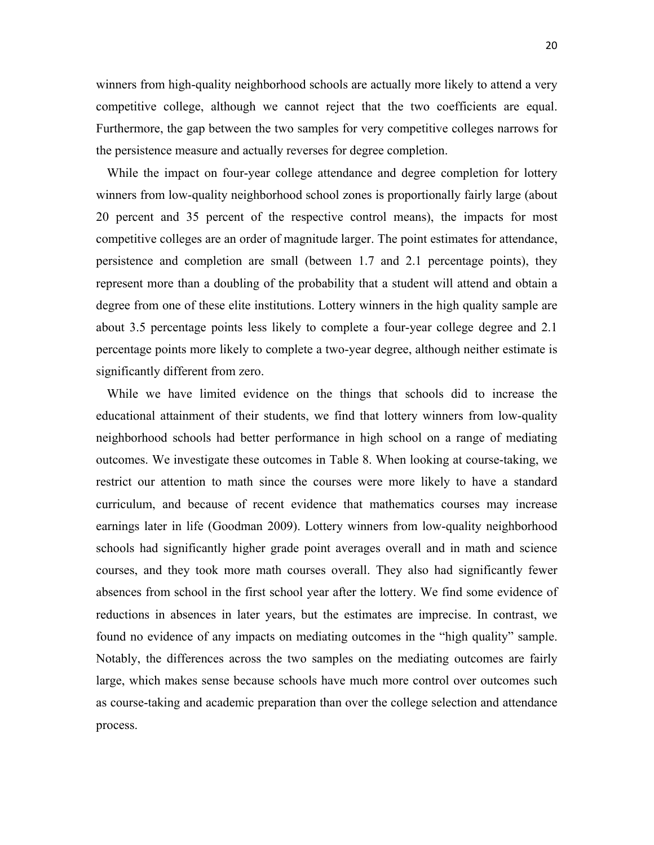winners from high-quality neighborhood schools are actually more likely to attend a very competitive college, although we cannot reject that the two coefficients are equal. Furthermore, the gap between the two samples for very competitive colleges narrows for the persistence measure and actually reverses for degree completion.

While the impact on four-year college attendance and degree completion for lottery winners from low-quality neighborhood school zones is proportionally fairly large (about 20 percent and 35 percent of the respective control means), the impacts for most competitive colleges are an order of magnitude larger. The point estimates for attendance, persistence and completion are small (between 1.7 and 2.1 percentage points), they represent more than a doubling of the probability that a student will attend and obtain a degree from one of these elite institutions. Lottery winners in the high quality sample are about 3.5 percentage points less likely to complete a four-year college degree and 2.1 percentage points more likely to complete a two-year degree, although neither estimate is significantly different from zero.

While we have limited evidence on the things that schools did to increase the educational attainment of their students, we find that lottery winners from low-quality neighborhood schools had better performance in high school on a range of mediating outcomes. We investigate these outcomes in Table 8. When looking at course-taking, we restrict our attention to math since the courses were more likely to have a standard curriculum, and because of recent evidence that mathematics courses may increase earnings later in life (Goodman 2009). Lottery winners from low-quality neighborhood schools had significantly higher grade point averages overall and in math and science courses, and they took more math courses overall. They also had significantly fewer absences from school in the first school year after the lottery. We find some evidence of reductions in absences in later years, but the estimates are imprecise. In contrast, we found no evidence of any impacts on mediating outcomes in the "high quality" sample. Notably, the differences across the two samples on the mediating outcomes are fairly large, which makes sense because schools have much more control over outcomes such as course-taking and academic preparation than over the college selection and attendance process.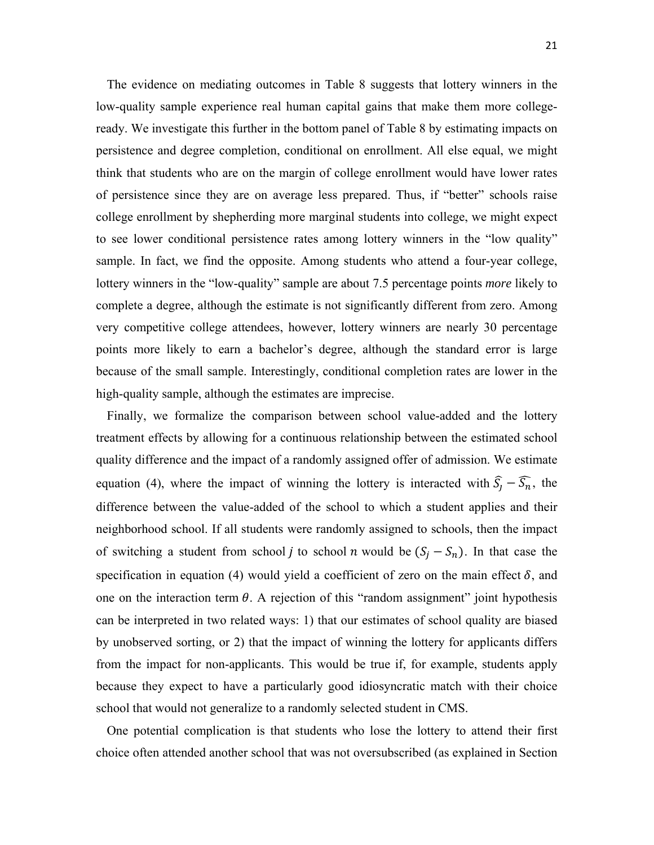The evidence on mediating outcomes in Table 8 suggests that lottery winners in the low-quality sample experience real human capital gains that make them more collegeready. We investigate this further in the bottom panel of Table 8 by estimating impacts on persistence and degree completion, conditional on enrollment. All else equal, we might think that students who are on the margin of college enrollment would have lower rates of persistence since they are on average less prepared. Thus, if "better" schools raise college enrollment by shepherding more marginal students into college, we might expect to see lower conditional persistence rates among lottery winners in the "low quality" sample. In fact, we find the opposite. Among students who attend a four-year college, lottery winners in the "low-quality" sample are about 7.5 percentage points *more* likely to complete a degree, although the estimate is not significantly different from zero. Among very competitive college attendees, however, lottery winners are nearly 30 percentage points more likely to earn a bachelor's degree, although the standard error is large because of the small sample. Interestingly, conditional completion rates are lower in the high-quality sample, although the estimates are imprecise.

Finally, we formalize the comparison between school value-added and the lottery treatment effects by allowing for a continuous relationship between the estimated school quality difference and the impact of a randomly assigned offer of admission. We estimate equation (4), where the impact of winning the lottery is interacted with  $\widehat{S}_j - \widehat{S}_n$ , the difference between the value-added of the school to which a student applies and their neighborhood school. If all students were randomly assigned to schools, then the impact of switching a student from school *j* to school *n* would be  $(S_i - S_n)$ . In that case the specification in equation (4) would yield a coefficient of zero on the main effect  $\delta$ , and one on the interaction term  $\theta$ . A rejection of this "random assignment" joint hypothesis can be interpreted in two related ways: 1) that our estimates of school quality are biased by unobserved sorting, or 2) that the impact of winning the lottery for applicants differs from the impact for non-applicants. This would be true if, for example, students apply because they expect to have a particularly good idiosyncratic match with their choice school that would not generalize to a randomly selected student in CMS.

One potential complication is that students who lose the lottery to attend their first choice often attended another school that was not oversubscribed (as explained in Section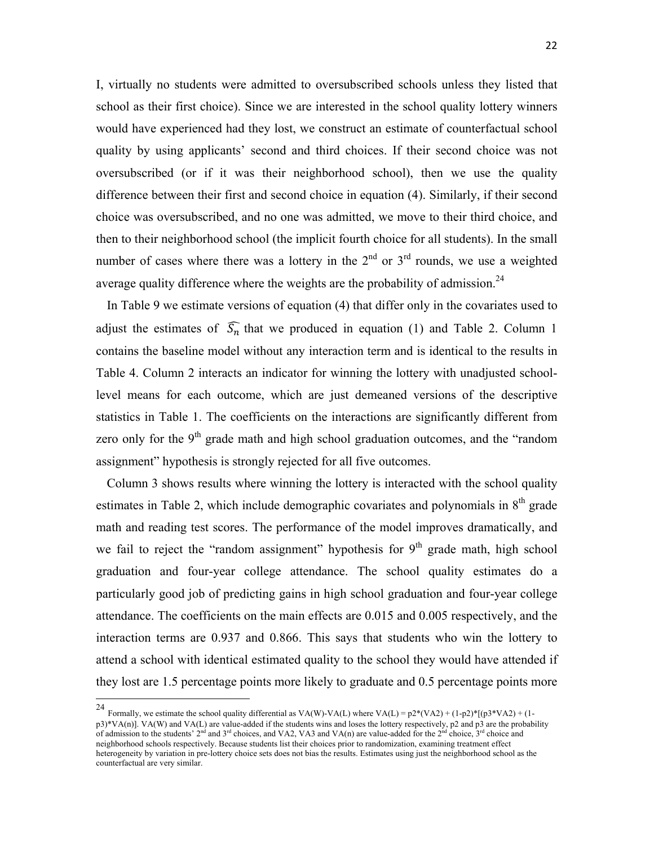I, virtually no students were admitted to oversubscribed schools unless they listed that school as their first choice). Since we are interested in the school quality lottery winners would have experienced had they lost, we construct an estimate of counterfactual school quality by using applicants' second and third choices. If their second choice was not oversubscribed (or if it was their neighborhood school), then we use the quality difference between their first and second choice in equation (4). Similarly, if their second choice was oversubscribed, and no one was admitted, we move to their third choice, and then to their neighborhood school (the implicit fourth choice for all students). In the small number of cases where there was a lottery in the  $2<sup>nd</sup>$  or  $3<sup>rd</sup>$  rounds, we use a weighted average quality difference where the weights are the probability of admission.<sup>24</sup>

In Table 9 we estimate versions of equation (4) that differ only in the covariates used to adjust the estimates of  $\widehat{S_n}$  that we produced in equation (1) and Table 2. Column 1 contains the baseline model without any interaction term and is identical to the results in Table 4. Column 2 interacts an indicator for winning the lottery with unadjusted schoollevel means for each outcome, which are just demeaned versions of the descriptive statistics in Table 1. The coefficients on the interactions are significantly different from zero only for the  $9<sup>th</sup>$  grade math and high school graduation outcomes, and the "random" assignment" hypothesis is strongly rejected for all five outcomes.

Column 3 shows results where winning the lottery is interacted with the school quality estimates in Table 2, which include demographic covariates and polynomials in  $8<sup>th</sup>$  grade math and reading test scores. The performance of the model improves dramatically, and we fail to reject the "random assignment" hypothesis for  $9<sup>th</sup>$  grade math, high school graduation and four-year college attendance. The school quality estimates do a particularly good job of predicting gains in high school graduation and four-year college attendance. The coefficients on the main effects are 0.015 and 0.005 respectively, and the interaction terms are 0.937 and 0.866. This says that students who win the lottery to attend a school with identical estimated quality to the school they would have attended if they lost are 1.5 percentage points more likely to graduate and 0.5 percentage points more

<sup>&</sup>lt;sup>24</sup> Formally, we estimate the school quality differential as VA(W)-VA(L) where VA(L) =  $p2*(VA2) + (1-p2)*[(p3*VA2) + (1-p2)*[p3*VA2]$ p3)\*VA(n)]. VA(W) and VA(L) are value-added if the students wins and loses the lottery respectively, p2 and p3 are the probability of admission to the students'  $2^{nd}$  and  $3^{rd}$  choices, and VA2, VA3 and VA(n) are value-added for the  $2^{nd}$  choice,  $3^{rd}$  choice and neighborhood schools respectively. Because students list their choices prior to randomization, examining treatment effect heterogeneity by variation in pre-lottery choice sets does not bias the results. Estimates using just the neighborhood school as the counterfactual are very similar.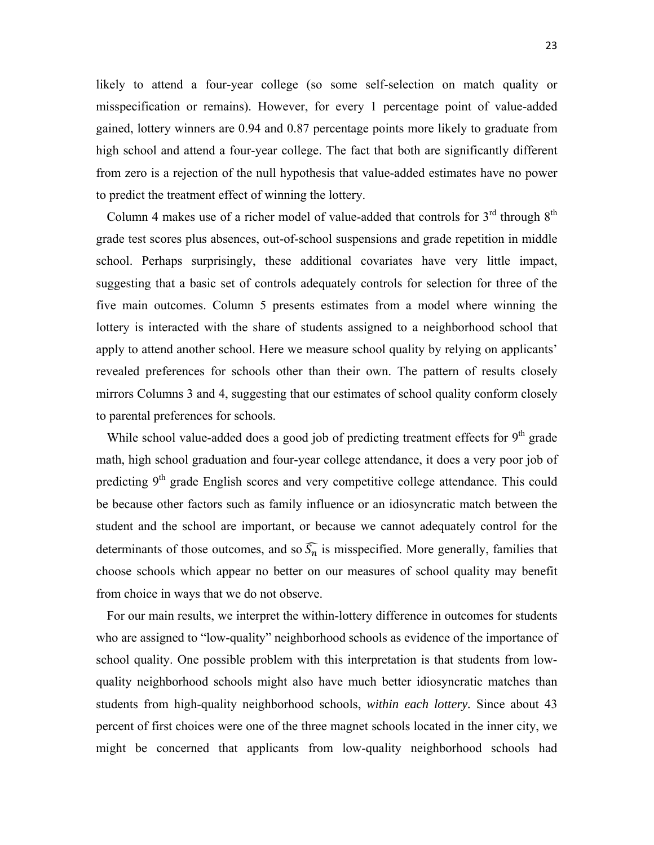likely to attend a four-year college (so some self-selection on match quality or misspecification or remains). However, for every 1 percentage point of value-added gained, lottery winners are 0.94 and 0.87 percentage points more likely to graduate from high school and attend a four-year college. The fact that both are significantly different from zero is a rejection of the null hypothesis that value-added estimates have no power to predict the treatment effect of winning the lottery.

Column 4 makes use of a richer model of value-added that controls for  $3<sup>rd</sup>$  through  $8<sup>th</sup>$ grade test scores plus absences, out-of-school suspensions and grade repetition in middle school. Perhaps surprisingly, these additional covariates have very little impact, suggesting that a basic set of controls adequately controls for selection for three of the five main outcomes. Column 5 presents estimates from a model where winning the lottery is interacted with the share of students assigned to a neighborhood school that apply to attend another school. Here we measure school quality by relying on applicants' revealed preferences for schools other than their own. The pattern of results closely mirrors Columns 3 and 4, suggesting that our estimates of school quality conform closely to parental preferences for schools.

While school value-added does a good job of predicting treatment effects for  $9<sup>th</sup>$  grade math, high school graduation and four-year college attendance, it does a very poor job of predicting  $9<sup>th</sup>$  grade English scores and very competitive college attendance. This could be because other factors such as family influence or an idiosyncratic match between the student and the school are important, or because we cannot adequately control for the determinants of those outcomes, and so  $\widehat{S_n}$  is misspecified. More generally, families that choose schools which appear no better on our measures of school quality may benefit from choice in ways that we do not observe.

For our main results, we interpret the within-lottery difference in outcomes for students who are assigned to "low-quality" neighborhood schools as evidence of the importance of school quality. One possible problem with this interpretation is that students from lowquality neighborhood schools might also have much better idiosyncratic matches than students from high-quality neighborhood schools, *within each lottery.* Since about 43 percent of first choices were one of the three magnet schools located in the inner city, we might be concerned that applicants from low-quality neighborhood schools had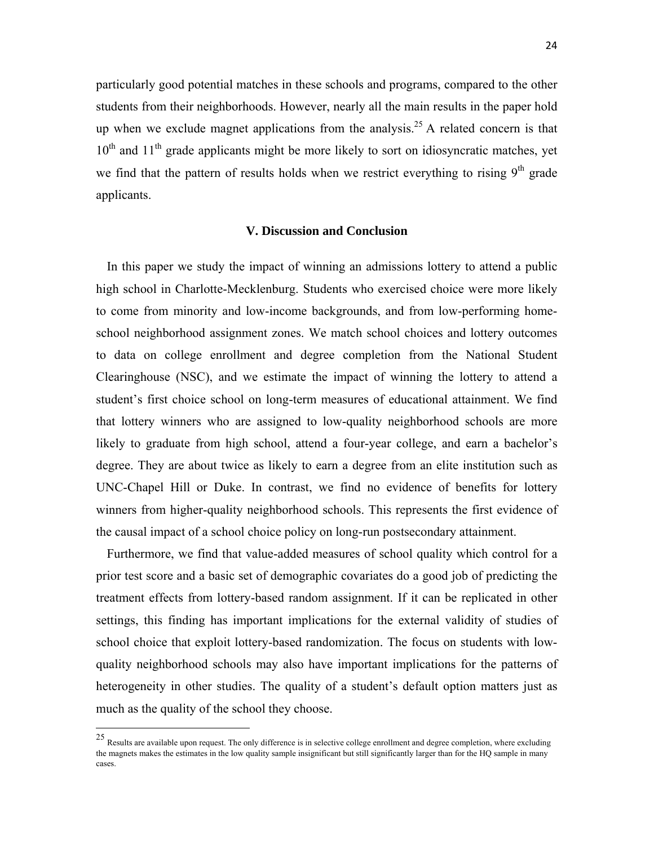particularly good potential matches in these schools and programs, compared to the other students from their neighborhoods. However, nearly all the main results in the paper hold up when we exclude magnet applications from the analysis.<sup>25</sup> A related concern is that  $10<sup>th</sup>$  and  $11<sup>th</sup>$  grade applicants might be more likely to sort on idiosyncratic matches, yet we find that the pattern of results holds when we restrict everything to rising  $9<sup>th</sup>$  grade applicants.

## **V. Discussion and Conclusion**

In this paper we study the impact of winning an admissions lottery to attend a public high school in Charlotte-Mecklenburg. Students who exercised choice were more likely to come from minority and low-income backgrounds, and from low-performing homeschool neighborhood assignment zones. We match school choices and lottery outcomes to data on college enrollment and degree completion from the National Student Clearinghouse (NSC), and we estimate the impact of winning the lottery to attend a student's first choice school on long-term measures of educational attainment. We find that lottery winners who are assigned to low-quality neighborhood schools are more likely to graduate from high school, attend a four-year college, and earn a bachelor's degree. They are about twice as likely to earn a degree from an elite institution such as UNC-Chapel Hill or Duke. In contrast, we find no evidence of benefits for lottery winners from higher-quality neighborhood schools. This represents the first evidence of the causal impact of a school choice policy on long-run postsecondary attainment.

Furthermore, we find that value-added measures of school quality which control for a prior test score and a basic set of demographic covariates do a good job of predicting the treatment effects from lottery-based random assignment. If it can be replicated in other settings, this finding has important implications for the external validity of studies of school choice that exploit lottery-based randomization. The focus on students with lowquality neighborhood schools may also have important implications for the patterns of heterogeneity in other studies. The quality of a student's default option matters just as much as the quality of the school they choose.

<sup>25</sup> Results are available upon request. The only difference is in selective college enrollment and degree completion, where excluding the magnets makes the estimates in the low quality sample insignificant but still significantly larger than for the HQ sample in many cases.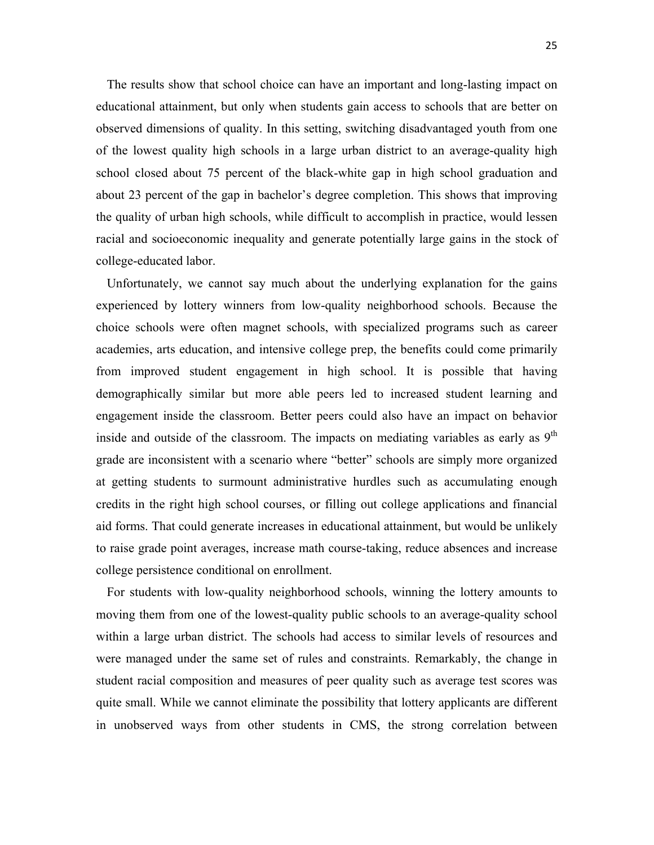The results show that school choice can have an important and long-lasting impact on educational attainment, but only when students gain access to schools that are better on observed dimensions of quality. In this setting, switching disadvantaged youth from one of the lowest quality high schools in a large urban district to an average-quality high school closed about 75 percent of the black-white gap in high school graduation and about 23 percent of the gap in bachelor's degree completion. This shows that improving the quality of urban high schools, while difficult to accomplish in practice, would lessen racial and socioeconomic inequality and generate potentially large gains in the stock of college-educated labor.

Unfortunately, we cannot say much about the underlying explanation for the gains experienced by lottery winners from low-quality neighborhood schools. Because the choice schools were often magnet schools, with specialized programs such as career academies, arts education, and intensive college prep, the benefits could come primarily from improved student engagement in high school. It is possible that having demographically similar but more able peers led to increased student learning and engagement inside the classroom. Better peers could also have an impact on behavior inside and outside of the classroom. The impacts on mediating variables as early as  $9<sup>th</sup>$ grade are inconsistent with a scenario where "better" schools are simply more organized at getting students to surmount administrative hurdles such as accumulating enough credits in the right high school courses, or filling out college applications and financial aid forms. That could generate increases in educational attainment, but would be unlikely to raise grade point averages, increase math course-taking, reduce absences and increase college persistence conditional on enrollment.

For students with low-quality neighborhood schools, winning the lottery amounts to moving them from one of the lowest-quality public schools to an average-quality school within a large urban district. The schools had access to similar levels of resources and were managed under the same set of rules and constraints. Remarkably, the change in student racial composition and measures of peer quality such as average test scores was quite small. While we cannot eliminate the possibility that lottery applicants are different in unobserved ways from other students in CMS, the strong correlation between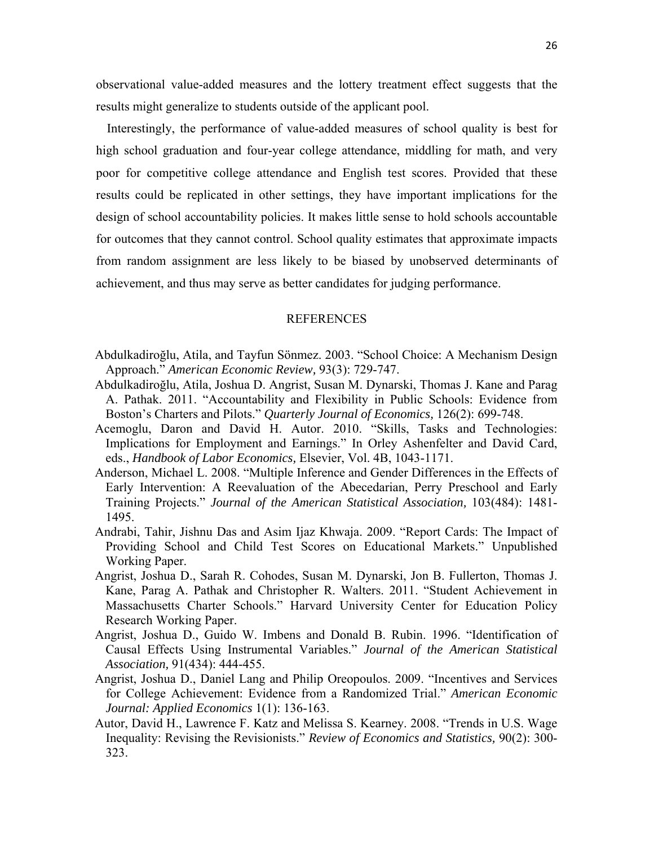observational value-added measures and the lottery treatment effect suggests that the results might generalize to students outside of the applicant pool.

Interestingly, the performance of value-added measures of school quality is best for high school graduation and four-year college attendance, middling for math, and very poor for competitive college attendance and English test scores. Provided that these results could be replicated in other settings, they have important implications for the design of school accountability policies. It makes little sense to hold schools accountable for outcomes that they cannot control. School quality estimates that approximate impacts from random assignment are less likely to be biased by unobserved determinants of achievement, and thus may serve as better candidates for judging performance.

#### REFERENCES

- Abdulkadiroğlu, Atila, and Tayfun Sönmez. 2003. "School Choice: A Mechanism Design Approach." *American Economic Review,* 93(3): 729-747.
- Abdulkadiroğlu, Atila, Joshua D. Angrist, Susan M. Dynarski, Thomas J. Kane and Parag A. Pathak. 2011. "Accountability and Flexibility in Public Schools: Evidence from Boston's Charters and Pilots." *Quarterly Journal of Economics,* 126(2): 699-748.
- Acemoglu, Daron and David H. Autor. 2010. "Skills, Tasks and Technologies: Implications for Employment and Earnings." In Orley Ashenfelter and David Card, eds., *Handbook of Labor Economics,* Elsevier, Vol. 4B, 1043-1171.
- Anderson, Michael L. 2008. "Multiple Inference and Gender Differences in the Effects of Early Intervention: A Reevaluation of the Abecedarian, Perry Preschool and Early Training Projects." *Journal of the American Statistical Association,* 103(484): 1481- 1495.
- Andrabi, Tahir, Jishnu Das and Asim Ijaz Khwaja. 2009. "Report Cards: The Impact of Providing School and Child Test Scores on Educational Markets." Unpublished Working Paper.
- Angrist, Joshua D., Sarah R. Cohodes, Susan M. Dynarski, Jon B. Fullerton, Thomas J. Kane, Parag A. Pathak and Christopher R. Walters. 2011. "Student Achievement in Massachusetts Charter Schools." Harvard University Center for Education Policy Research Working Paper.
- Angrist, Joshua D., Guido W. Imbens and Donald B. Rubin. 1996. "Identification of Causal Effects Using Instrumental Variables." *Journal of the American Statistical Association,* 91(434): 444-455.
- Angrist, Joshua D., Daniel Lang and Philip Oreopoulos. 2009. "Incentives and Services for College Achievement: Evidence from a Randomized Trial." *American Economic Journal: Applied Economics* 1(1): 136-163.
- Autor, David H., Lawrence F. Katz and Melissa S. Kearney. 2008. "Trends in U.S. Wage Inequality: Revising the Revisionists." *Review of Economics and Statistics,* 90(2): 300- 323.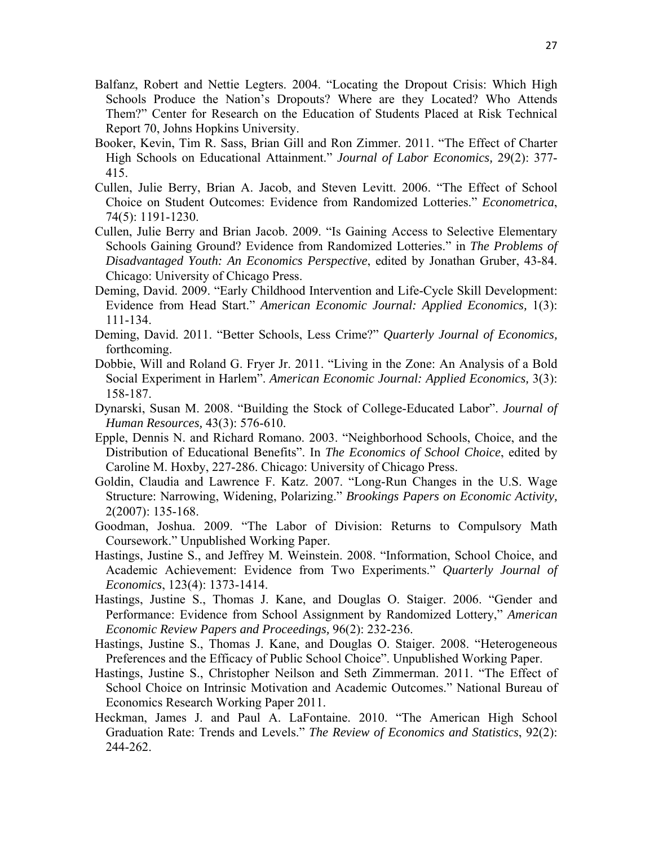- Balfanz, Robert and Nettie Legters. 2004. "Locating the Dropout Crisis: Which High Schools Produce the Nation's Dropouts? Where are they Located? Who Attends Them?" Center for Research on the Education of Students Placed at Risk Technical Report 70, Johns Hopkins University.
- Booker, Kevin, Tim R. Sass, Brian Gill and Ron Zimmer. 2011. "The Effect of Charter High Schools on Educational Attainment." *Journal of Labor Economics,* 29(2): 377- 415.
- Cullen, Julie Berry, Brian A. Jacob, and Steven Levitt. 2006. "The Effect of School Choice on Student Outcomes: Evidence from Randomized Lotteries." *Econometrica*, 74(5): 1191-1230.
- Cullen, Julie Berry and Brian Jacob. 2009. "Is Gaining Access to Selective Elementary Schools Gaining Ground? Evidence from Randomized Lotteries." in *The Problems of Disadvantaged Youth: An Economics Perspective*, edited by Jonathan Gruber, 43-84. Chicago: University of Chicago Press.
- Deming, David. 2009. "Early Childhood Intervention and Life-Cycle Skill Development: Evidence from Head Start." *American Economic Journal: Applied Economics,* 1(3): 111-134.
- Deming, David. 2011. "Better Schools, Less Crime?" *Quarterly Journal of Economics,*  forthcoming.
- Dobbie, Will and Roland G. Fryer Jr. 2011. "Living in the Zone: An Analysis of a Bold Social Experiment in Harlem". *American Economic Journal: Applied Economics,* 3(3): 158-187.
- Dynarski, Susan M. 2008. "Building the Stock of College-Educated Labor". *Journal of Human Resources,* 43(3): 576-610.
- Epple, Dennis N. and Richard Romano. 2003. "Neighborhood Schools, Choice, and the Distribution of Educational Benefits". In *The Economics of School Choice*, edited by Caroline M. Hoxby, 227-286. Chicago: University of Chicago Press.
- Goldin, Claudia and Lawrence F. Katz. 2007. "Long-Run Changes in the U.S. Wage Structure: Narrowing, Widening, Polarizing." *Brookings Papers on Economic Activity,* 2(2007): 135-168.
- Goodman, Joshua. 2009. "The Labor of Division: Returns to Compulsory Math Coursework." Unpublished Working Paper.
- Hastings, Justine S., and Jeffrey M. Weinstein. 2008. "Information, School Choice, and Academic Achievement: Evidence from Two Experiments." *Quarterly Journal of Economics*, 123(4): 1373-1414.
- Hastings, Justine S., Thomas J. Kane, and Douglas O. Staiger. 2006. "Gender and Performance: Evidence from School Assignment by Randomized Lottery," *American Economic Review Papers and Proceedings,* 96(2): 232-236.
- Hastings, Justine S., Thomas J. Kane, and Douglas O. Staiger. 2008. "Heterogeneous Preferences and the Efficacy of Public School Choice". Unpublished Working Paper.
- Hastings, Justine S., Christopher Neilson and Seth Zimmerman. 2011. "The Effect of School Choice on Intrinsic Motivation and Academic Outcomes." National Bureau of Economics Research Working Paper 2011.
- Heckman, James J. and Paul A. LaFontaine. 2010. "The American High School Graduation Rate: Trends and Levels." *The Review of Economics and Statistics*, 92(2): 244-262.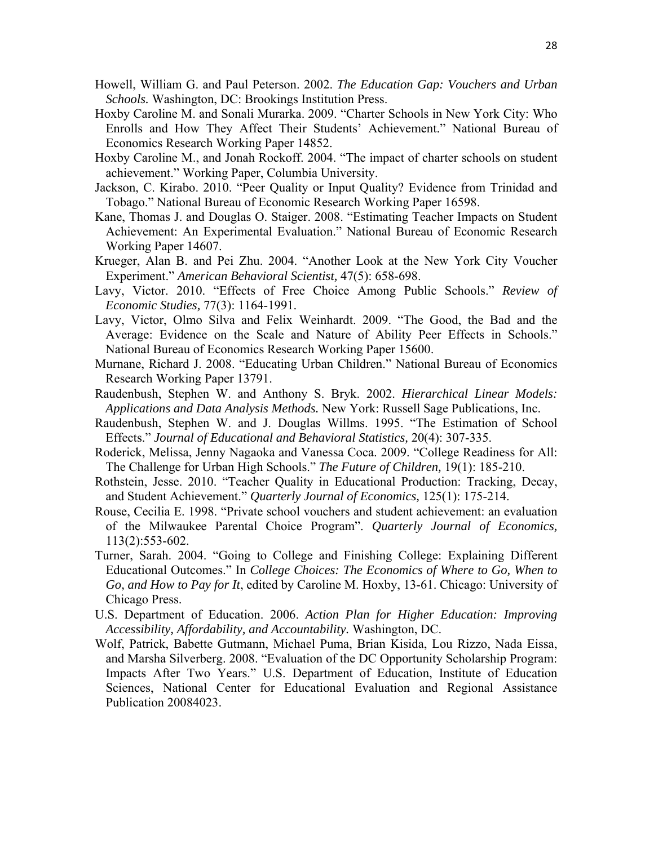- Howell, William G. and Paul Peterson. 2002. *The Education Gap: Vouchers and Urban Schools.* Washington, DC: Brookings Institution Press.
- Hoxby Caroline M. and Sonali Murarka. 2009. "Charter Schools in New York City: Who Enrolls and How They Affect Their Students' Achievement." National Bureau of Economics Research Working Paper 14852.
- Hoxby Caroline M., and Jonah Rockoff. 2004. "The impact of charter schools on student achievement." Working Paper, Columbia University.
- Jackson, C. Kirabo. 2010. "Peer Quality or Input Quality? Evidence from Trinidad and Tobago." National Bureau of Economic Research Working Paper 16598.
- Kane, Thomas J. and Douglas O. Staiger. 2008. "Estimating Teacher Impacts on Student Achievement: An Experimental Evaluation." National Bureau of Economic Research Working Paper 14607.
- Krueger, Alan B. and Pei Zhu. 2004. "Another Look at the New York City Voucher Experiment." *American Behavioral Scientist,* 47(5): 658-698.
- Lavy, Victor. 2010. "Effects of Free Choice Among Public Schools." *Review of Economic Studies,* 77(3): 1164-1991.
- Lavy, Victor, Olmo Silva and Felix Weinhardt. 2009. "The Good, the Bad and the Average: Evidence on the Scale and Nature of Ability Peer Effects in Schools." National Bureau of Economics Research Working Paper 15600.
- Murnane, Richard J. 2008. "Educating Urban Children." National Bureau of Economics Research Working Paper 13791.
- Raudenbush, Stephen W. and Anthony S. Bryk. 2002. *Hierarchical Linear Models: Applications and Data Analysis Methods.* New York: Russell Sage Publications, Inc.
- Raudenbush, Stephen W. and J. Douglas Willms. 1995. "The Estimation of School Effects." *Journal of Educational and Behavioral Statistics,* 20(4): 307-335.
- Roderick, Melissa, Jenny Nagaoka and Vanessa Coca. 2009. "College Readiness for All: The Challenge for Urban High Schools." *The Future of Children,* 19(1): 185-210.
- Rothstein, Jesse. 2010. "Teacher Quality in Educational Production: Tracking, Decay, and Student Achievement." *Quarterly Journal of Economics,* 125(1): 175-214.
- Rouse, Cecilia E. 1998. "Private school vouchers and student achievement: an evaluation of the Milwaukee Parental Choice Program". *Quarterly Journal of Economics,* 113(2):553-602.
- Turner, Sarah. 2004. "Going to College and Finishing College: Explaining Different Educational Outcomes." In *College Choices: The Economics of Where to Go, When to Go, and How to Pay for It*, edited by Caroline M. Hoxby, 13-61. Chicago: University of Chicago Press.
- U.S. Department of Education. 2006. *Action Plan for Higher Education: Improving Accessibility, Affordability, and Accountability.* Washington, DC.
- Wolf, Patrick, Babette Gutmann, Michael Puma, Brian Kisida, Lou Rizzo, Nada Eissa, and Marsha Silverberg. 2008. "Evaluation of the DC Opportunity Scholarship Program: Impacts After Two Years." U.S. Department of Education, Institute of Education Sciences, National Center for Educational Evaluation and Regional Assistance Publication 20084023.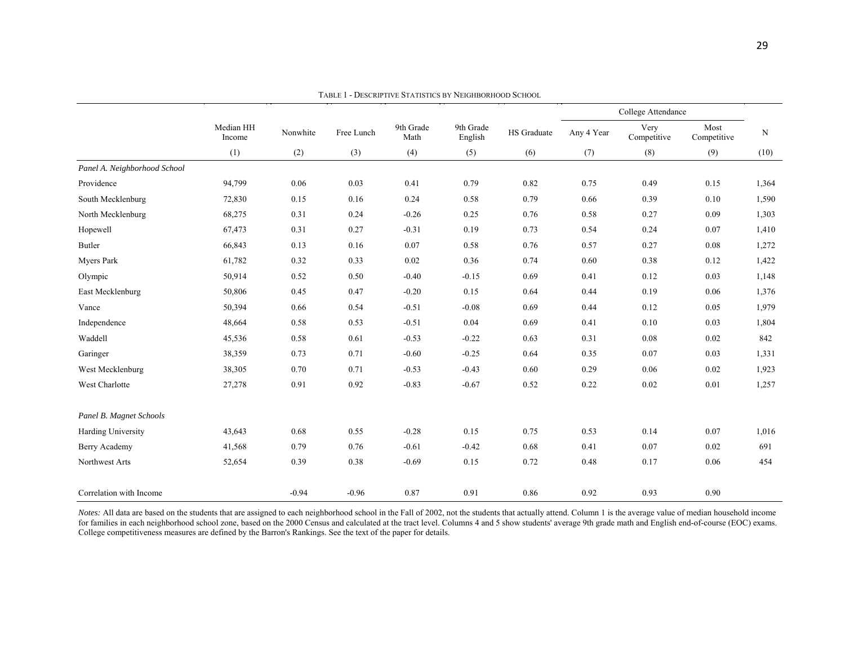|                              |                     |          |            |                   |                      |             |            | College Attendance  |                     |           |
|------------------------------|---------------------|----------|------------|-------------------|----------------------|-------------|------------|---------------------|---------------------|-----------|
|                              | Median HH<br>Income | Nonwhite | Free Lunch | 9th Grade<br>Math | 9th Grade<br>English | HS Graduate | Any 4 Year | Very<br>Competitive | Most<br>Competitive | ${\bf N}$ |
|                              | (1)                 | (2)      | (3)        | (4)               | (5)                  | (6)         | (7)        | (8)                 | (9)                 | (10)      |
| Panel A. Neighborhood School |                     |          |            |                   |                      |             |            |                     |                     |           |
| Providence                   | 94,799              | 0.06     | 0.03       | 0.41              | 0.79                 | 0.82        | 0.75       | 0.49                | 0.15                | 1,364     |
| South Mecklenburg            | 72,830              | 0.15     | 0.16       | 0.24              | 0.58                 | 0.79        | 0.66       | 0.39                | 0.10                | 1,590     |
| North Mecklenburg            | 68,275              | 0.31     | 0.24       | $-0.26$           | 0.25                 | 0.76        | 0.58       | 0.27                | 0.09                | 1,303     |
| Hopewell                     | 67,473              | 0.31     | 0.27       | $-0.31$           | 0.19                 | 0.73        | 0.54       | 0.24                | 0.07                | 1,410     |
| Butler                       | 66,843              | 0.13     | 0.16       | 0.07              | 0.58                 | 0.76        | 0.57       | 0.27                | 0.08                | 1,272     |
| Myers Park                   | 61,782              | 0.32     | 0.33       | 0.02              | 0.36                 | 0.74        | 0.60       | 0.38                | 0.12                | 1,422     |
| Olympic                      | 50,914              | 0.52     | 0.50       | $-0.40$           | $-0.15$              | 0.69        | 0.41       | 0.12                | 0.03                | 1,148     |
| East Mecklenburg             | 50,806              | 0.45     | 0.47       | $-0.20$           | 0.15                 | 0.64        | 0.44       | 0.19                | 0.06                | 1,376     |
| Vance                        | 50,394              | 0.66     | 0.54       | $-0.51$           | $-0.08$              | 0.69        | 0.44       | 0.12                | 0.05                | 1,979     |
| Independence                 | 48,664              | 0.58     | 0.53       | $-0.51$           | 0.04                 | 0.69        | 0.41       | 0.10                | 0.03                | 1,804     |
| Waddell                      | 45,536              | 0.58     | 0.61       | $-0.53$           | $-0.22$              | 0.63        | 0.31       | 0.08                | 0.02                | 842       |
| Garinger                     | 38,359              | 0.73     | 0.71       | $-0.60$           | $-0.25$              | 0.64        | 0.35       | 0.07                | 0.03                | 1,331     |
| West Mecklenburg             | 38,305              | 0.70     | 0.71       | $-0.53$           | $-0.43$              | 0.60        | 0.29       | 0.06                | 0.02                | 1,923     |
| West Charlotte               | 27,278              | 0.91     | 0.92       | $-0.83$           | $-0.67$              | 0.52        | 0.22       | 0.02                | 0.01                | 1,257     |
| Panel B. Magnet Schools      |                     |          |            |                   |                      |             |            |                     |                     |           |
|                              |                     |          |            |                   | 0.15                 |             |            | 0.14                | 0.07                |           |
| Harding University           | 43,643              | 0.68     | 0.55       | $-0.28$           |                      | 0.75        | 0.53       |                     |                     | 1,016     |
| Berry Academy                | 41,568              | 0.79     | 0.76       | $-0.61$           | $-0.42$              | 0.68        | 0.41       | 0.07                | 0.02                | 691       |
| Northwest Arts               | 52,654              | 0.39     | 0.38       | $-0.69$           | 0.15                 | 0.72        | 0.48       | 0.17                | 0.06                | 454       |
| Correlation with Income      |                     | $-0.94$  | $-0.96$    | 0.87              | 0.91                 | 0.86        | 0.92       | 0.93                | 0.90                |           |

TABLE 1 - DESCRIPTIVE STATISTICS BY NEIGHBORHOOD SCHOOL

*Notes:* All data are based on the students that are assigned to each neighborhood school in the Fall of 2002, not the students that actually attend. Column 1 is the average value of median household income for families in each neighborhood school zone, based on the 2000 Census and calculated at the tract level. Columns 4 and 5 show students' average 9th grade math and English end-of-course (EOC) exams. College competitiveness measures are defined by the Barron's Rankings. See the text of the paper for details.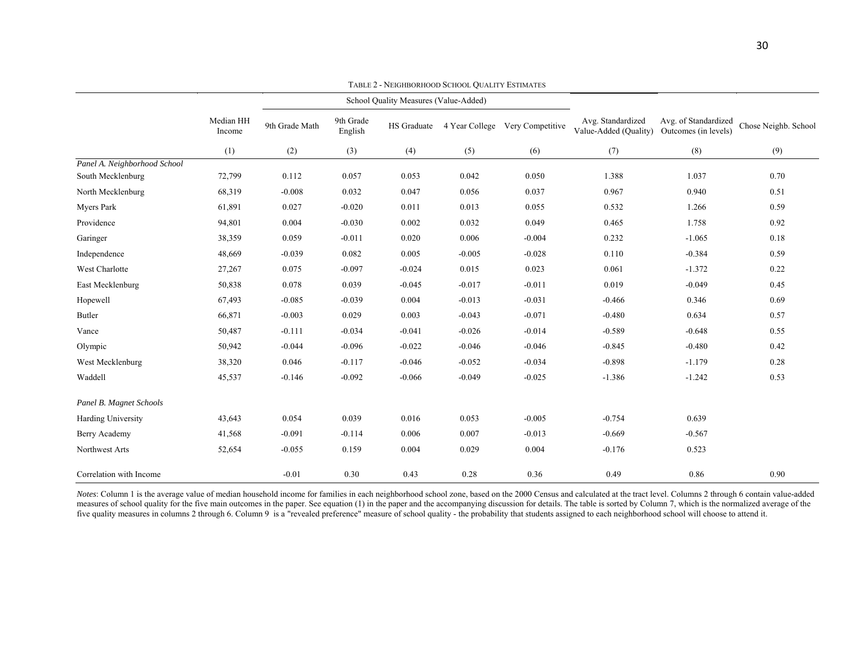30

|                              |                     |                | School Quality Measures (Value-Added) |             |          |                                 |                                            |                                              |                      |
|------------------------------|---------------------|----------------|---------------------------------------|-------------|----------|---------------------------------|--------------------------------------------|----------------------------------------------|----------------------|
|                              | Median HH<br>Income | 9th Grade Math | 9th Grade<br>English                  | HS Graduate |          | 4 Year College Very Competitive | Avg. Standardized<br>Value-Added (Quality) | Avg. of Standardized<br>Outcomes (in levels) | Chose Neighb. School |
|                              | (1)                 | (2)            | (3)                                   | (4)         | (5)      | (6)                             | (7)                                        | (8)                                          | (9)                  |
| Panel A. Neighborhood School |                     |                |                                       |             |          |                                 |                                            |                                              |                      |
| South Mecklenburg            | 72,799              | 0.112          | 0.057                                 | 0.053       | 0.042    | 0.050                           | 1.388                                      | 1.037                                        | 0.70                 |
| North Mecklenburg            | 68,319              | $-0.008$       | 0.032                                 | 0.047       | 0.056    | 0.037                           | 0.967                                      | 0.940                                        | 0.51                 |
| Myers Park                   | 61,891              | 0.027          | $-0.020$                              | 0.011       | 0.013    | 0.055                           | 0.532                                      | 1.266                                        | 0.59                 |
| Providence                   | 94,801              | 0.004          | $-0.030$                              | 0.002       | 0.032    | 0.049                           | 0.465                                      | 1.758                                        | 0.92                 |
| Garinger                     | 38,359              | 0.059          | $-0.011$                              | 0.020       | 0.006    | $-0.004$                        | 0.232                                      | $-1.065$                                     | 0.18                 |
| Independence                 | 48,669              | $-0.039$       | 0.082                                 | 0.005       | $-0.005$ | $-0.028$                        | 0.110                                      | $-0.384$                                     | 0.59                 |
| West Charlotte               | 27,267              | 0.075          | $-0.097$                              | $-0.024$    | 0.015    | 0.023                           | 0.061                                      | $-1.372$                                     | 0.22                 |
| East Mecklenburg             | 50,838              | 0.078          | 0.039                                 | $-0.045$    | $-0.017$ | $-0.011$                        | 0.019                                      | $-0.049$                                     | 0.45                 |
| Hopewell                     | 67,493              | $-0.085$       | $-0.039$                              | 0.004       | $-0.013$ | $-0.031$                        | $-0.466$                                   | 0.346                                        | 0.69                 |
| <b>Butler</b>                | 66,871              | $-0.003$       | 0.029                                 | 0.003       | $-0.043$ | $-0.071$                        | $-0.480$                                   | 0.634                                        | 0.57                 |
| Vance                        | 50,487              | $-0.111$       | $-0.034$                              | $-0.041$    | $-0.026$ | $-0.014$                        | $-0.589$                                   | $-0.648$                                     | 0.55                 |
| Olympic                      | 50,942              | $-0.044$       | $-0.096$                              | $-0.022$    | $-0.046$ | $-0.046$                        | $-0.845$                                   | $-0.480$                                     | 0.42                 |
| West Mecklenburg             | 38,320              | 0.046          | $-0.117$                              | $-0.046$    | $-0.052$ | $-0.034$                        | $-0.898$                                   | $-1.179$                                     | 0.28                 |
| Waddell                      | 45,537              | $-0.146$       | $-0.092$                              | $-0.066$    | $-0.049$ | $-0.025$                        | $-1.386$                                   | $-1.242$                                     | 0.53                 |
| Panel B. Magnet Schools      |                     |                |                                       |             |          |                                 |                                            |                                              |                      |
| <b>Harding University</b>    | 43,643              | 0.054          | 0.039                                 | 0.016       | 0.053    | $-0.005$                        | $-0.754$                                   | 0.639                                        |                      |
| Berry Academy                | 41,568              | $-0.091$       | $-0.114$                              | 0.006       | 0.007    | $-0.013$                        | $-0.669$                                   | $-0.567$                                     |                      |
| Northwest Arts               | 52,654              | $-0.055$       | 0.159                                 | 0.004       | 0.029    | 0.004                           | $-0.176$                                   | 0.523                                        |                      |
| Correlation with Income      |                     | $-0.01$        | 0.30                                  | 0.43        | 0.28     | 0.36                            | 0.49                                       | 0.86                                         | 0.90                 |

TABLE 2 - NEIGHBORHOOD SCHOOL QUALITY ESTIMATES

*Notes*: Column 1 is the average value of median household income for families in each neighborhood school zone, based on the 2000 Census and calculated at the tract level. Columns 2 through 6 contain value-added measures of school quality for the five main outcomes in the paper. See equation (1) in the paper and the accompanying discussion for details. The table is sorted by Column 7, which is the normalized average of the five quality measures in columns 2 through 6. Column 9 is a "revealed preference" measure of school quality - the probability that students assigned to each neighborhood school will choose to attend it.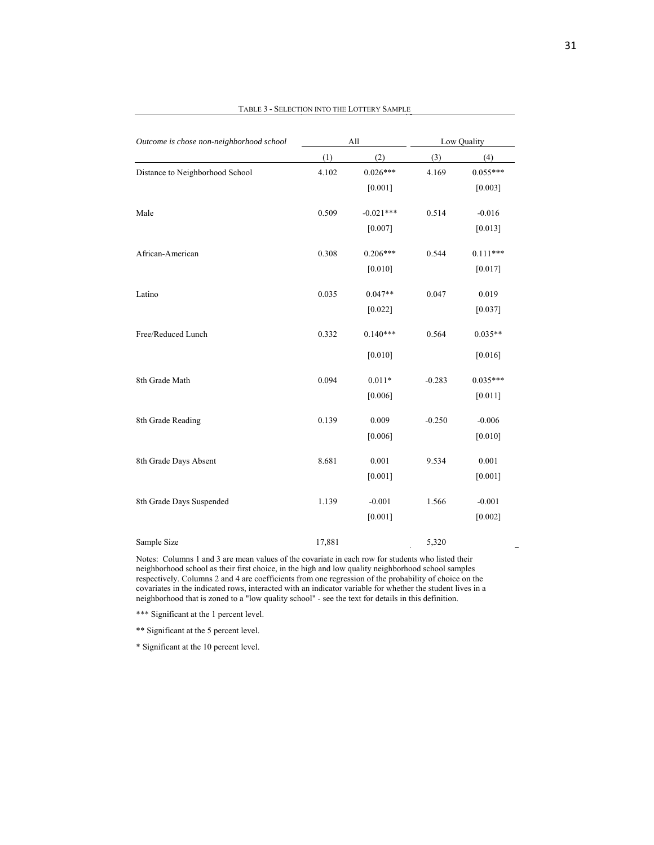| Outcome is chose non-neighborhood school | All    |             |          | Low Quality |
|------------------------------------------|--------|-------------|----------|-------------|
|                                          | (1)    | (2)         | (3)      | (4)         |
| Distance to Neighborhood School          | 4.102  | $0.026***$  | 4.169    | $0.055***$  |
|                                          |        | [0.001]     |          | [0.003]     |
| Male                                     | 0.509  | $-0.021***$ | 0.514    | $-0.016$    |
|                                          |        | [0.007]     |          | [0.013]     |
| African-American                         | 0.308  | $0.206***$  | 0.544    | $0.111***$  |
|                                          |        | [0.010]     |          | [0.017]     |
| Latino                                   | 0.035  | $0.047**$   | 0.047    | 0.019       |
|                                          |        | [0.022]     |          | [0.037]     |
| Free/Reduced Lunch                       | 0.332  | $0.140***$  | 0.564    | $0.035**$   |
|                                          |        | [0.010]     |          | [0.016]     |
| 8th Grade Math                           | 0.094  | $0.011*$    | $-0.283$ | $0.035***$  |
|                                          |        | [0.006]     |          | [0.011]     |
| 8th Grade Reading                        | 0.139  | 0.009       | $-0.250$ | $-0.006$    |
|                                          |        | [0.006]     |          | [0.010]     |
| 8th Grade Days Absent                    | 8.681  | 0.001       | 9.534    | 0.001       |
|                                          |        | $[0.001]$   |          | [0.001]     |
| 8th Grade Days Suspended                 | 1.139  | $-0.001$    | 1.566    | $-0.001$    |
|                                          |        | [0.001]     |          | $[0.002]$   |
| Sample Size                              | 17,881 |             | 5,320    |             |

#### TABLE 3 - SELECTION INTO THE LOTTERY SAMPLE

Notes: Columns 1 and 3 are mean values of the covariate in each row for students who listed their neighborhood school as their first choice, in the high and low quality neighborhood school samples respectively. Columns 2 and 4 are coefficients from one regression of the probability of choice on the covariates in the indicated rows, interacted with an indicator variable for whether the student lives in a neighborhood that is zoned to a "low quality school" - see the text for details in this definition.

\*\*\* Significant at the 1 percent level.

\*\* Significant at the 5 percent level.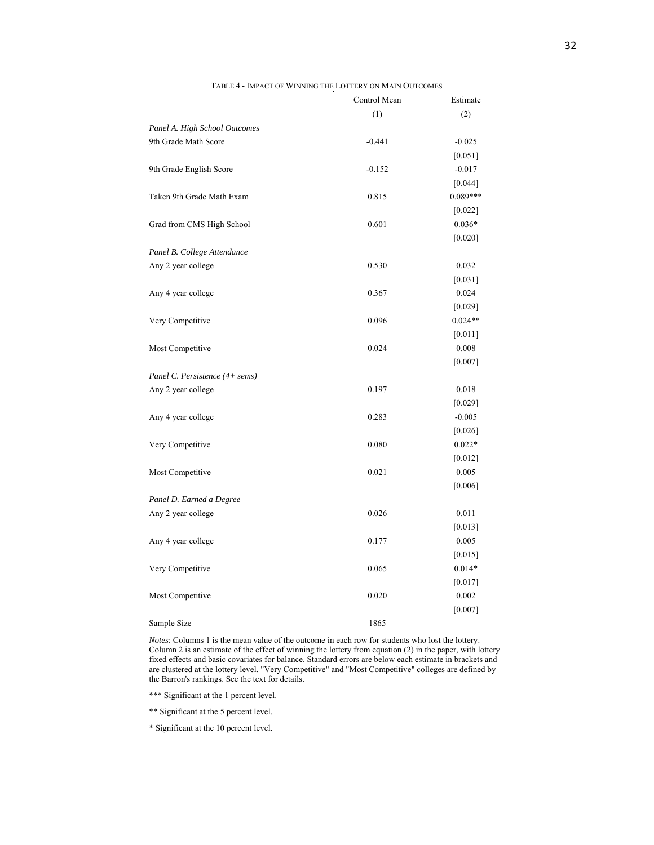|                                | Control Mean | Estimate   |
|--------------------------------|--------------|------------|
|                                | (1)          | (2)        |
| Panel A. High School Outcomes  |              |            |
| 9th Grade Math Score           | $-0.441$     | $-0.025$   |
|                                |              | [0.051]    |
| 9th Grade English Score        | $-0.152$     | $-0.017$   |
|                                |              | [0.044]    |
| Taken 9th Grade Math Exam      | 0.815        | $0.089***$ |
|                                |              | $[0.022]$  |
| Grad from CMS High School      | 0.601        | $0.036*$   |
|                                |              | [0.020]    |
| Panel B. College Attendance    |              |            |
| Any 2 year college             | 0.530        | 0.032      |
|                                |              | [0.031]    |
| Any 4 year college             | 0.367        | 0.024      |
|                                |              | [0.029]    |
| Very Competitive               | 0.096        | $0.024**$  |
|                                |              | $[0.011]$  |
| Most Competitive               | 0.024        | 0.008      |
|                                |              | [0.007]    |
| Panel C. Persistence (4+ sems) |              |            |
| Any 2 year college             | 0.197        | 0.018      |
|                                |              | [0.029]    |
| Any 4 year college             | 0.283        | $-0.005$   |
|                                |              | [0.026]    |
| Very Competitive               | 0.080        | $0.022*$   |
|                                |              | [0.012]    |
| Most Competitive               | 0.021        | 0.005      |
|                                |              | [0.006]    |
| Panel D. Earned a Degree       |              |            |
| Any 2 year college             | 0.026        | 0.011      |
|                                |              | [0.013]    |
| Any 4 year college             | 0.177        | 0.005      |
|                                |              | [0.015]    |
| Very Competitive               | 0.065        | $0.014*$   |
|                                |              | [0.017]    |
| Most Competitive               | 0.020        | 0.002      |
|                                |              | [0.007]    |
| Sample Size                    | 1865         |            |

|  | TABLE 4 - IMPACT OF WINNING THE LOTTERY ON MAIN OUTCOMES |  |
|--|----------------------------------------------------------|--|
|--|----------------------------------------------------------|--|

*Notes*: Columns 1 is the mean value of the outcome in each row for students who lost the lottery. Column 2 is an estimate of the effect of winning the lottery from equation (2) in the paper, with lottery fixed effects and basic covariates for balance. Standard errors are below each estimate in brackets and are clustered at the lottery level. "Very Competitive" and "Most Competitive" colleges are defined by the Barron's rankings. See the text for details.

- \*\*\* Significant at the 1 percent level.
- \*\* Significant at the 5 percent level.
- \* Significant at the 10 percent level.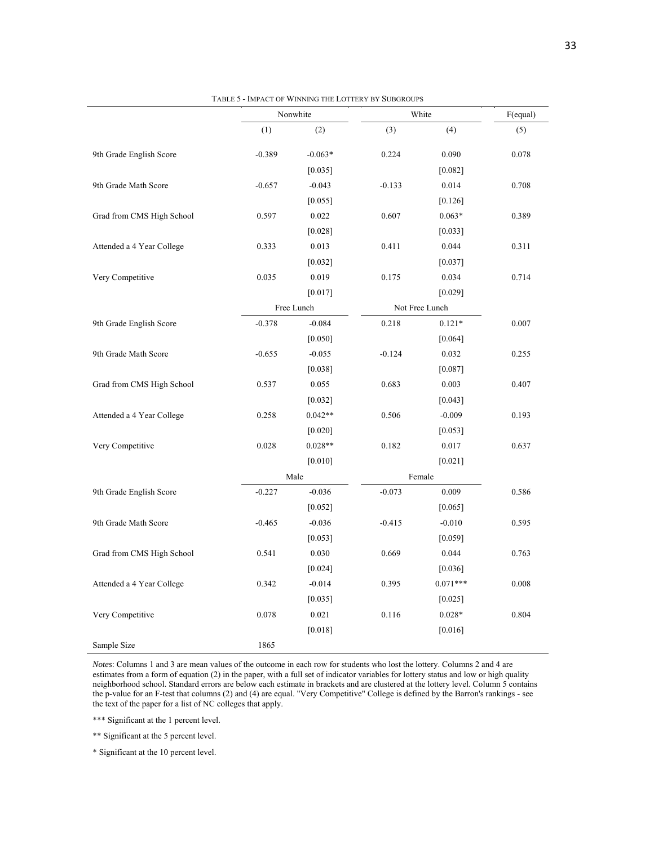|                           |          | Nonwhite   |          | White          |       |  |
|---------------------------|----------|------------|----------|----------------|-------|--|
|                           | (1)      | (2)        | (3)      | (4)            | (5)   |  |
| 9th Grade English Score   | $-0.389$ | $-0.063*$  | 0.224    | 0.090          | 0.078 |  |
|                           |          | [0.035]    |          | [0.082]        |       |  |
| 9th Grade Math Score      | $-0.657$ | $-0.043$   | $-0.133$ | 0.014          | 0.708 |  |
|                           |          | [0.055]    |          | [0.126]        |       |  |
| Grad from CMS High School | 0.597    | 0.022      | 0.607    | $0.063*$       | 0.389 |  |
|                           |          | [0.028]    |          | [0.033]        |       |  |
| Attended a 4 Year College | 0.333    | 0.013      | 0.411    | 0.044          | 0.311 |  |
|                           |          | [0.032]    |          | [0.037]        |       |  |
| Very Competitive          | 0.035    | 0.019      | 0.175    | 0.034          | 0.714 |  |
|                           |          | [0.017]    |          | [0.029]        |       |  |
|                           |          | Free Lunch |          | Not Free Lunch |       |  |
| 9th Grade English Score   | $-0.378$ | $-0.084$   | 0.218    | $0.121*$       | 0.007 |  |
|                           |          | [0.050]    |          | [0.064]        |       |  |
| 9th Grade Math Score      | $-0.655$ | $-0.055$   | $-0.124$ | 0.032          | 0.255 |  |
|                           |          | [0.038]    |          | [0.087]        |       |  |
| Grad from CMS High School | 0.537    | 0.055      | 0.683    | 0.003          | 0.407 |  |
|                           |          | [0.032]    |          | [0.043]        |       |  |
| Attended a 4 Year College | 0.258    | $0.042**$  | 0.506    | $-0.009$       | 0.193 |  |
|                           |          | [0.020]    |          | [0.053]        |       |  |
| Very Competitive          | 0.028    | $0.028**$  | 0.182    | 0.017          | 0.637 |  |
|                           |          | [0.010]    |          | [0.021]        |       |  |
|                           |          | Male       |          | Female         |       |  |
| 9th Grade English Score   | $-0.227$ | $-0.036$   | $-0.073$ | 0.009          | 0.586 |  |
|                           |          | [0.052]    |          | [0.065]        |       |  |
| 9th Grade Math Score      | $-0.465$ | $-0.036$   | $-0.415$ | $-0.010$       | 0.595 |  |
|                           |          | [0.053]    |          | [0.059]        |       |  |
| Grad from CMS High School | 0.541    | 0.030      | 0.669    | 0.044          | 0.763 |  |
|                           |          | [0.024]    |          | [0.036]        |       |  |
| Attended a 4 Year College | 0.342    | $-0.014$   | 0.395    | $0.071***$     | 0.008 |  |
|                           |          | [0.035]    |          | [0.025]        |       |  |
| Very Competitive          | 0.078    | 0.021      | 0.116    | $0.028*$       | 0.804 |  |
|                           |          | [0.018]    |          | [0.016]        |       |  |
| Sample Size               | 1865     |            |          |                |       |  |

TABLE 5 - IMPACT OF WINNING THE LOTTERY BY SUBGROUPS

*Notes*: Columns 1 and 3 are mean values of the outcome in each row for students who lost the lottery. Columns 2 and 4 are estimates from a form of equation (2) in the paper, with a full set of indicator variables for lottery status and low or high quality neighborhood school. Standard errors are below each estimate in brackets and are clustered at the lottery level. Column 5 contains the p-value for an F-test that columns (2) and (4) are equal. "Very Competitive" College is defined by the Barron's rankings - see the text of the paper for a list of NC colleges that apply.

\*\*\* Significant at the 1 percent level.

\*\* Significant at the 5 percent level.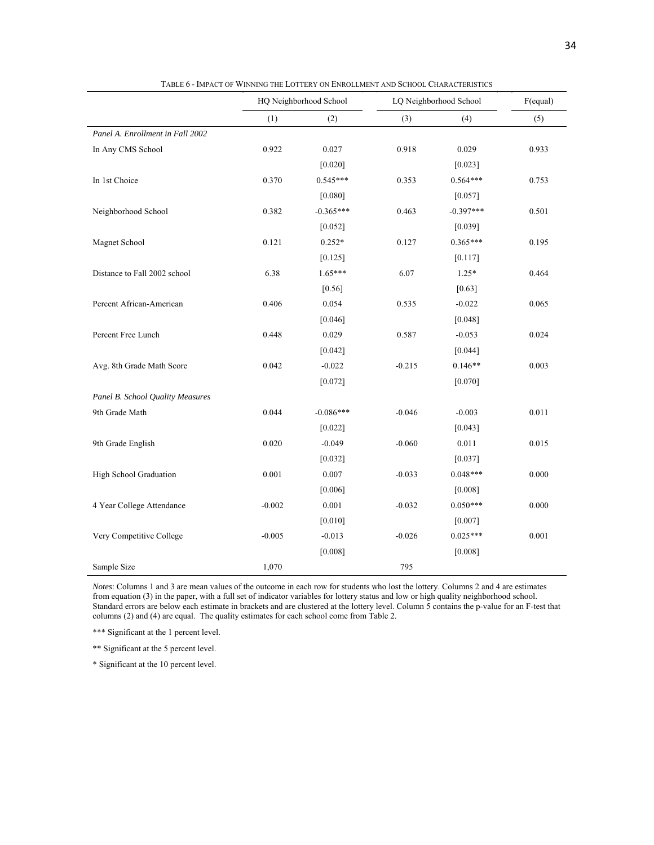|                                  |          | HQ Neighborhood School | LQ Neighborhood School | $F$ (equal) |       |
|----------------------------------|----------|------------------------|------------------------|-------------|-------|
|                                  | (1)      | (2)                    | (3)                    | (4)         | (5)   |
| Panel A. Enrollment in Fall 2002 |          |                        |                        |             |       |
| In Any CMS School                | 0.922    | 0.027                  | 0.918                  | 0.029       | 0.933 |
|                                  |          | [0.020]                |                        | [0.023]     |       |
| In 1st Choice                    | 0.370    | 0.545***               | 0.353                  | $0.564***$  | 0.753 |
|                                  |          | [0.080]                |                        | [0.057]     |       |
| Neighborhood School              | 0.382    | $-0.365***$            | 0.463                  | $-0.397***$ | 0.501 |
|                                  |          | [0.052]                |                        | [0.039]     |       |
| Magnet School                    | 0.121    | $0.252*$               | 0.127                  | $0.365***$  | 0.195 |
|                                  |          | [0.125]                |                        | [0.117]     |       |
| Distance to Fall 2002 school     | 6.38     | $1.65***$              | 6.07                   | $1.25*$     | 0.464 |
|                                  |          | [0.56]                 |                        | [0.63]      |       |
| Percent African-American         | 0.406    | 0.054                  | 0.535                  | $-0.022$    | 0.065 |
|                                  |          | [0.046]                |                        | [0.048]     |       |
| Percent Free Lunch               | 0.448    | 0.029                  | 0.587                  | $-0.053$    | 0.024 |
|                                  |          | [0.042]                |                        | [0.044]     |       |
| Avg. 8th Grade Math Score        | 0.042    | $-0.022$               | $-0.215$               | $0.146**$   | 0.003 |
|                                  |          | [0.072]                |                        | [0.070]     |       |
| Panel B. School Quality Measures |          |                        |                        |             |       |
| 9th Grade Math                   | 0.044    | $-0.086***$            | $-0.046$               | $-0.003$    | 0.011 |
|                                  |          | [0.022]                |                        | [0.043]     |       |
| 9th Grade English                | 0.020    | $-0.049$               | $-0.060$               | 0.011       | 0.015 |
|                                  |          | [0.032]                |                        | [0.037]     |       |
| High School Graduation           | 0.001    | 0.007                  | $-0.033$               | $0.048***$  | 0.000 |
|                                  |          | [0.006]                |                        | [0.008]     |       |
| 4 Year College Attendance        | $-0.002$ | 0.001                  | $-0.032$               | $0.050***$  | 0.000 |
|                                  |          | $[0.010]$              |                        | [0.007]     |       |
| Very Competitive College         | $-0.005$ | $-0.013$               | $-0.026$               | $0.025***$  | 0.001 |
|                                  |          | [0.008]                |                        | [0.008]     |       |
| Sample Size                      | 1,070    |                        | 795                    |             |       |

TABLE 6 - IMPACT OF WINNING THE LOTTERY ON ENROLLMENT AND SCHOOL CHARACTERISTICS

*Notes*: Columns 1 and 3 are mean values of the outcome in each row for students who lost the lottery. Columns 2 and 4 are estimates from equation (3) in the paper, with a full set of indicator variables for lottery status and low or high quality neighborhood school. Standard errors are below each estimate in brackets and are clustered at the lottery level. Column 5 contains the p-value for an F-test that columns (2) and (4) are equal. The quality estimates for each school come from Table 2.

\*\*\* Significant at the 1 percent level.

\*\* Significant at the 5 percent level.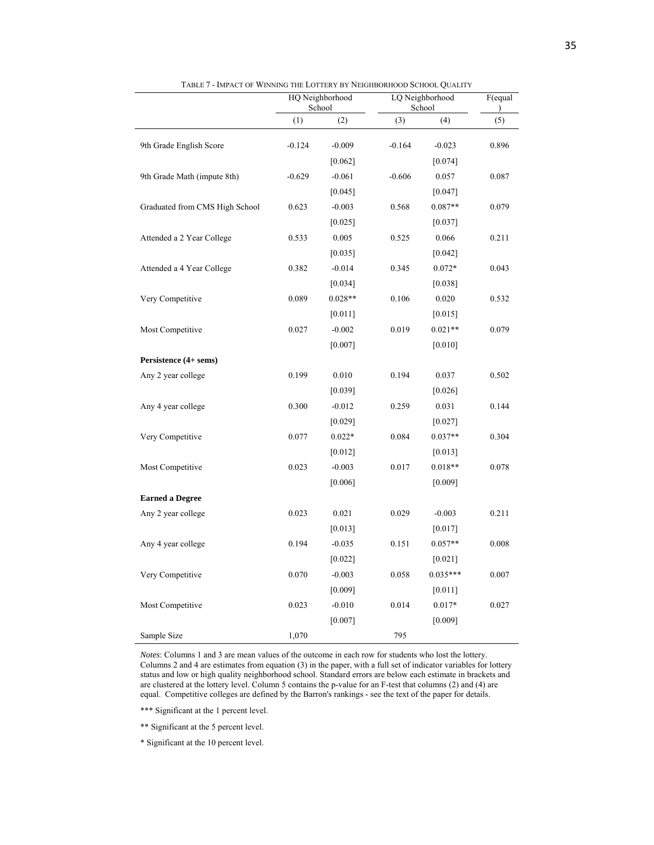|                                |          | HQ Neighborhood<br>School | LQ Neighborhood<br>School | F(equal    |       |
|--------------------------------|----------|---------------------------|---------------------------|------------|-------|
|                                | (1)      | (2)                       | (3)                       | (4)        | (5)   |
| 9th Grade English Score        | $-0.124$ | $-0.009$                  | $-0.164$                  | $-0.023$   | 0.896 |
|                                |          | [0.062]                   |                           | [0.074]    |       |
| 9th Grade Math (impute 8th)    | $-0.629$ | $-0.061$                  | $-0.606$                  | 0.057      | 0.087 |
|                                |          | [0.045]                   |                           | [0.047]    |       |
| Graduated from CMS High School | 0.623    | $-0.003$                  | 0.568                     | $0.087**$  | 0.079 |
|                                |          | [0.025]                   |                           | [0.037]    |       |
| Attended a 2 Year College      | 0.533    | 0.005                     | 0.525                     | 0.066      | 0.211 |
|                                |          | [0.035]                   |                           | [0.042]    |       |
| Attended a 4 Year College      | 0.382    | $-0.014$                  | 0.345                     | $0.072*$   | 0.043 |
|                                |          | $[0.034]$                 |                           | [0.038]    |       |
| Very Competitive               | 0.089    | $0.028**$                 | 0.106                     | 0.020      | 0.532 |
|                                |          | [0.011]                   |                           | [0.015]    |       |
| Most Competitive               | 0.027    | $-0.002$                  | 0.019                     | $0.021**$  | 0.079 |
|                                |          | [0.007]                   |                           | [0.010]    |       |
| Persistence (4+ sems)          |          |                           |                           |            |       |
| Any 2 year college             | 0.199    | 0.010                     | 0.194                     | 0.037      | 0.502 |
|                                |          | [0.039]                   |                           | [0.026]    |       |
| Any 4 year college             | 0.300    | $-0.012$                  | 0.259                     | 0.031      | 0.144 |
|                                |          | [0.029]                   |                           | [0.027]    |       |
| Very Competitive               | 0.077    | $0.022*$                  | 0.084                     | $0.037**$  | 0.304 |
|                                |          | [0.012]                   |                           | [0.013]    |       |
| Most Competitive               | 0.023    | $-0.003$                  | 0.017                     | $0.018**$  | 0.078 |
|                                |          | [0.006]                   |                           | [0.009]    |       |
| <b>Earned a Degree</b>         |          |                           |                           |            |       |
| Any 2 year college             | 0.023    | 0.021                     | 0.029                     | $-0.003$   | 0.211 |
|                                |          | [0.013]                   |                           | [0.017]    |       |
| Any 4 year college             | 0.194    | $-0.035$                  | 0.151                     | $0.057**$  | 0.008 |
|                                |          | [0.022]                   |                           | [0.021]    |       |
| Very Competitive               | 0.070    | $-0.003$                  | 0.058                     | $0.035***$ | 0.007 |
|                                |          | [0.009]                   |                           | [0.011]    |       |
| Most Competitive               | 0.023    | $-0.010$                  | 0.014                     | $0.017*$   | 0.027 |
|                                |          | [0.007]                   |                           | [0.009]    |       |
| Sample Size                    | 1,070    |                           | 795                       |            |       |

|  | TABLE 7 - IMPACT OF WINNING THE LOTTERY BY NEIGHBORHOOD SCHOOL OUALITY |  |
|--|------------------------------------------------------------------------|--|
|--|------------------------------------------------------------------------|--|

*Notes*: Columns 1 and 3 are mean values of the outcome in each row for students who lost the lottery. Columns 2 and 4 are estimates from equation (3) in the paper, with a full set of indicator variables for lottery status and low or high quality neighborhood school. Standard errors are below each estimate in brackets and are clustered at the lottery level. Column 5 contains the p-value for an F-test that columns (2) and (4) are equal. Competitive colleges are defined by the Barron's rankings - see the text of the paper for details.

\*\*\* Significant at the 1 percent level.

\*\* Significant at the 5 percent level.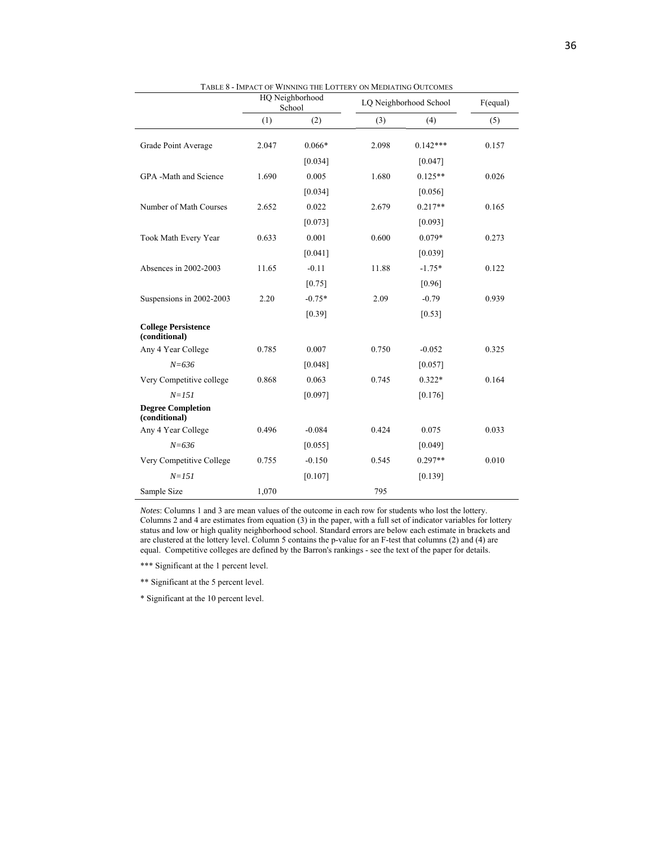|                                             | HQ Neighborhood<br>School |          | <b>I ABLE 0 - IMPACT OF WINNING THE LOTTERY ON MEDIATING OUTCOMES</b> | LQ Neighborhood School |       |  |
|---------------------------------------------|---------------------------|----------|-----------------------------------------------------------------------|------------------------|-------|--|
|                                             | (1)                       | (2)      | (3)                                                                   | (4)                    | (5)   |  |
| Grade Point Average                         | 2.047                     | $0.066*$ | 2.098                                                                 | $0.142***$             | 0.157 |  |
|                                             |                           | [0.034]  |                                                                       | [0.047]                |       |  |
| GPA -Math and Science                       | 1.690                     | 0.005    | 1.680                                                                 | $0.125**$              | 0.026 |  |
|                                             |                           | [0.034]  |                                                                       | [0.056]                |       |  |
| Number of Math Courses                      | 2.652                     | 0.022    | 2.679                                                                 | $0.217**$              | 0.165 |  |
|                                             |                           | [0.073]  |                                                                       | [0.093]                |       |  |
| Took Math Every Year                        | 0.633                     | 0.001    | 0.600                                                                 | $0.079*$               | 0.273 |  |
|                                             |                           | [0.041]  |                                                                       | [0.039]                |       |  |
| Absences in 2002-2003                       | 11.65                     | $-0.11$  | 11.88                                                                 | $-1.75*$               | 0.122 |  |
|                                             |                           | [0.75]   |                                                                       | [0.96]                 |       |  |
| Suspensions in 2002-2003                    | 2.20                      | $-0.75*$ | 2.09                                                                  | $-0.79$                | 0.939 |  |
|                                             |                           | [0.39]   |                                                                       | [0.53]                 |       |  |
| <b>College Persistence</b><br>(conditional) |                           |          |                                                                       |                        |       |  |
| Any 4 Year College                          | 0.785                     | 0.007    | 0.750                                                                 | $-0.052$               | 0.325 |  |
| $N = 636$                                   |                           | [0.048]  |                                                                       | [0.057]                |       |  |
| Very Competitive college                    | 0.868                     | 0.063    | 0.745                                                                 | $0.322*$               | 0.164 |  |
| $N = 151$                                   |                           | [0.097]  |                                                                       | [0.176]                |       |  |
| <b>Degree Completion</b><br>(conditional)   |                           |          |                                                                       |                        |       |  |
| Any 4 Year College                          | 0.496                     | $-0.084$ | 0.424                                                                 | 0.075                  | 0.033 |  |
| $N = 636$                                   |                           | [0.055]  |                                                                       | [0.049]                |       |  |
| Very Competitive College                    | 0.755                     | $-0.150$ | 0.545                                                                 | $0.297**$              | 0.010 |  |
| $N = 151$                                   |                           | [0.107]  |                                                                       | [0.139]                |       |  |
| Sample Size                                 | 1,070                     |          | 795                                                                   |                        |       |  |

TABLE 8 - IMPACT OF WINNING THE LOTTERY ON MEDIATING OUTCOMES

*Notes*: Columns 1 and 3 are mean values of the outcome in each row for students who lost the lottery. Columns 2 and 4 are estimates from equation (3) in the paper, with a full set of indicator variables for lottery status and low or high quality neighborhood school. Standard errors are below each estimate in brackets and are clustered at the lottery level. Column 5 contains the p-value for an F-test that columns (2) and (4) are equal. Competitive colleges are defined by the Barron's rankings - see the text of the paper for details.

\*\*\* Significant at the 1 percent level.

\*\* Significant at the 5 percent level.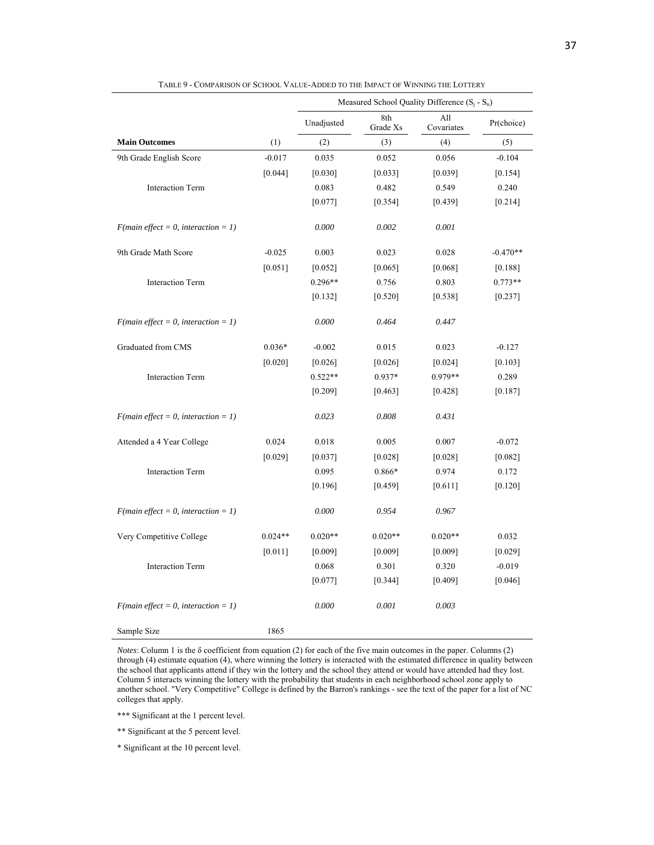|                                       |           | Measured School Quality Difference $(S_i - S_n)$ |                 |                   |            |  |  |
|---------------------------------------|-----------|--------------------------------------------------|-----------------|-------------------|------------|--|--|
|                                       |           | Unadjusted                                       | 8th<br>Grade Xs | All<br>Covariates | Pr(choice) |  |  |
| <b>Main Outcomes</b>                  | (1)       | (2)                                              | (3)             | (4)               | (5)        |  |  |
| 9th Grade English Score               | $-0.017$  | 0.035                                            | 0.052           | 0.056             | $-0.104$   |  |  |
|                                       | [0.044]   | [0.030]                                          | [0.033]         | [0.039]           | [0.154]    |  |  |
| <b>Interaction Term</b>               |           | 0.083                                            | 0.482           | 0.549             | 0.240      |  |  |
|                                       |           | [0.077]                                          | [0.354]         | [0.439]           | [0.214]    |  |  |
| $F(main effect = 0, interaction = 1)$ |           | 0.000                                            | 0.002           | 0.001             |            |  |  |
| 9th Grade Math Score                  | $-0.025$  | 0.003                                            | 0.023           | 0.028             | $-0.470**$ |  |  |
|                                       | [0.051]   | [0.052]                                          | [0.065]         | [0.068]           | [0.188]    |  |  |
| <b>Interaction Term</b>               |           | $0.296**$                                        | 0.756           | 0.803             | $0.773**$  |  |  |
|                                       |           | [0.132]                                          | [0.520]         | [0.538]           | [0.237]    |  |  |
| $F(main effect = 0, interaction = 1)$ |           | 0.000                                            | 0.464           | 0.447             |            |  |  |
| Graduated from CMS                    | $0.036*$  | $-0.002$                                         | 0.015           | 0.023             | $-0.127$   |  |  |
|                                       | [0.020]   | [0.026]                                          | [0.026]         | [0.024]           | [0.103]    |  |  |
| <b>Interaction Term</b>               |           | $0.522**$                                        | 0.937*          | 0.979**           | 0.289      |  |  |
|                                       |           | [0.209]                                          | [0.463]         | [0.428]           | [0.187]    |  |  |
| $F(main effect = 0, interaction = 1)$ |           | 0.023                                            | 0.808           | 0.431             |            |  |  |
| Attended a 4 Year College             | 0.024     | 0.018                                            | 0.005           | 0.007             | $-0.072$   |  |  |
|                                       | [0.029]   | [0.037]                                          | [0.028]         | [0.028]           | [0.082]    |  |  |
| <b>Interaction Term</b>               |           | 0.095                                            | 0.866*          | 0.974             | 0.172      |  |  |
|                                       |           | [0.196]                                          | [0.459]         | [0.611]           | [0.120]    |  |  |
| $F(main effect = 0, interaction = 1)$ |           | 0.000                                            | 0.954           | 0.967             |            |  |  |
| Very Competitive College              | $0.024**$ | $0.020**$                                        | $0.020**$       | $0.020**$         | 0.032      |  |  |
|                                       | [0.011]   | [0.009]                                          | [0.009]         | [0.009]           | [0.029]    |  |  |
| <b>Interaction Term</b>               |           | 0.068                                            | 0.301           | 0.320             | $-0.019$   |  |  |
|                                       |           | [0.077]                                          | [0.344]         | [0.409]           | [0.046]    |  |  |
| $F(main effect = 0, interaction = 1)$ |           | 0.000                                            | 0.001           | 0.003             |            |  |  |
| Sample Size                           | 1865      |                                                  |                 |                   |            |  |  |

TABLE 9 - COMPARISON OF SCHOOL VALUE-ADDED TO THE IMPACT OF WINNING THE LOTTERY

*Notes*: Column 1 is the  $\delta$  coefficient from equation (2) for each of the five main outcomes in the paper. Columns (2) through (4) estimate equation (4), where winning the lottery is interacted with the estimated difference in quality between the school that applicants attend if they win the lottery and the school they attend or would have attended had they lost. Column 5 interacts winning the lottery with the probability that students in each neighborhood school zone apply to another school. "Very Competitive" College is defined by the Barron's rankings - see the text of the paper for a list of NC colleges that apply.

\*\*\* Significant at the 1 percent level.

\*\* Significant at the 5 percent level.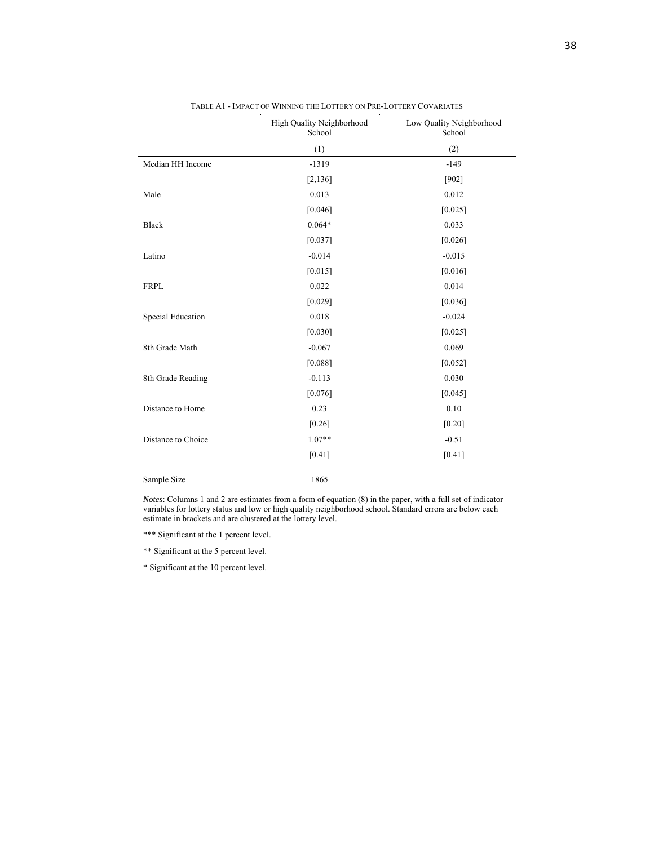|                    | High Quality Neighborhood<br>School | Low Quality Neighborhood<br>School |
|--------------------|-------------------------------------|------------------------------------|
|                    | (1)                                 | (2)                                |
| Median HH Income   | $-1319$                             | $-149$                             |
|                    | [2, 136]                            | [902]                              |
| Male               | 0.013                               | 0.012                              |
|                    | [0.046]                             | [0.025]                            |
| <b>Black</b>       | $0.064*$                            | 0.033                              |
|                    | [0.037]                             | [0.026]                            |
| Latino             | $-0.014$                            | $-0.015$                           |
|                    | [0.015]                             | [0.016]                            |
| <b>FRPL</b>        | 0.022                               | 0.014                              |
|                    | [0.029]                             | [0.036]                            |
| Special Education  | 0.018                               | $-0.024$                           |
|                    | [0.030]                             | [0.025]                            |
| 8th Grade Math     | $-0.067$                            | 0.069                              |
|                    | [0.088]                             | [0.052]                            |
| 8th Grade Reading  | $-0.113$                            | 0.030                              |
|                    | [0.076]                             | [0.045]                            |
| Distance to Home   | 0.23                                | 0.10                               |
|                    | [0.26]                              | [0.20]                             |
| Distance to Choice | $1.07**$                            | $-0.51$                            |
|                    | $[0.41]$                            | $[0.41]$                           |
| Sample Size        | 1865                                |                                    |

TABLE A1 - IMPACT OF WINNING THE LOTTERY ON PRE-LOTTERY COVARIATES

*Notes*: Columns 1 and 2 are estimates from a form of equation (8) in the paper, with a full set of indicator variables for lottery status and low or high quality neighborhood school. Standard errors are below each estimate in brackets and are clustered at the lottery level.

\*\*\* Significant at the 1 percent level.

\*\* Significant at the 5 percent level.